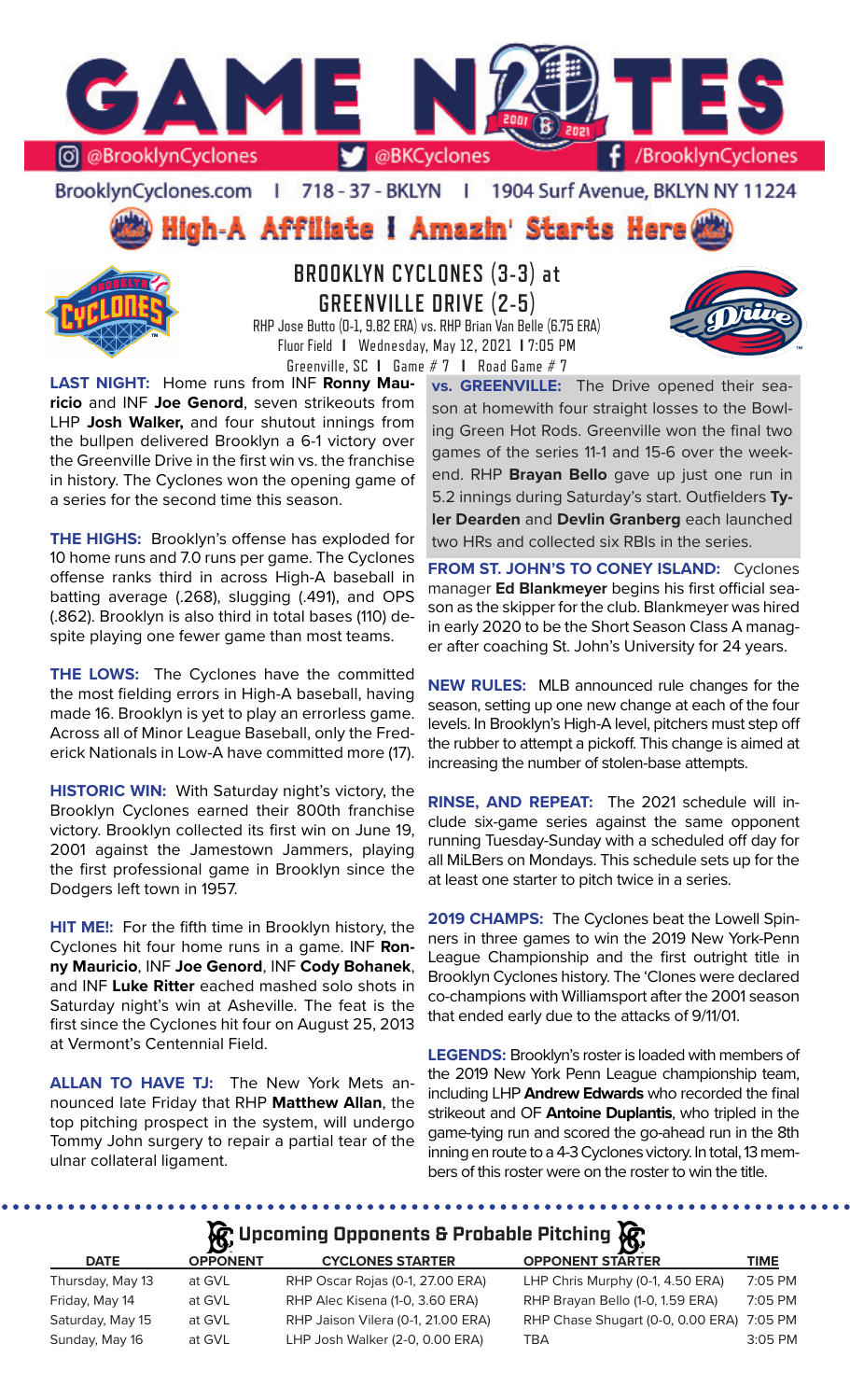

BrooklynCyclones.com | 718 - 37 - BKLYN | 1904 Surf Avenue, BKLYN NY 11224

High-A Affiliate i Amazin' Starts Here



# **BROOKLYN CYCLONES (3-3) at GREENVILLE DRIVE (2-5)**

RHP Jose Butto (0-1, 9.82 ERA) vs. RHP Brian Van Belle (6.75 ERA) Fluor Field **I** Wednesday, May 12, 2021 **I** 7:05 PM Greenville, SC **I** Game # 7 **I** Road Game # 7

**LAST NIGHT:** Home runs from INF **Ronny Mauricio** and INF **Joe Genord**, seven strikeouts from LHP **Josh Walker,** and four shutout innings from the bullpen delivered Brooklyn a 6-1 victory over the Greenville Drive in the first win vs. the franchise in history. The Cyclones won the opening game of a series for the second time this season.

**THE HIGHS:** Brooklyn's offense has exploded for 10 home runs and 7.0 runs per game. The Cyclones offense ranks third in across High-A baseball in batting average (.268), slugging (.491), and OPS (.862). Brooklyn is also third in total bases (110) despite playing one fewer game than most teams.

**THE LOWS:** The Cyclones have the committed the most fielding errors in High-A baseball, having made 16. Brooklyn is yet to play an errorless game. Across all of Minor League Baseball, only the Frederick Nationals in Low-A have committed more (17).

**HISTORIC WIN:** With Saturday night's victory, the Brooklyn Cyclones earned their 800th franchise victory. Brooklyn collected its first win on June 19, 2001 against the Jamestown Jammers, playing the first professional game in Brooklyn since the Dodgers left town in 1957.

**HIT ME!:** For the fifth time in Brooklyn history, the Cyclones hit four home runs in a game. INF **Ronny Mauricio**, INF **Joe Genord**, INF **Cody Bohanek**, and INF **Luke Ritter** eached mashed solo shots in Saturday night's win at Asheville. The feat is the first since the Cyclones hit four on August 25, 2013 at Vermont's Centennial Field.

**ALLAN TO HAVE TJ:** The New York Mets announced late Friday that RHP **Matthew Allan**, the top pitching prospect in the system, will undergo Tommy John surgery to repair a partial tear of the ulnar collateral ligament.

**vs. GREENVILLE:** The Drive opened their season at homewith four straight losses to the Bowling Green Hot Rods. Greenville won the final two games of the series 11-1 and 15-6 over the weekend. RHP **Brayan Bello** gave up just one run in 5.2 innings during Saturday's start. Outfielders **Tyler Dearden** and **Devlin Granberg** each launched two HRs and collected six RBIs in the series.

**FROM ST. JOHN'S TO CONEY ISLAND:** Cyclones manager **Ed Blankmeyer** begins his first official season as the skipper for the club. Blankmeyer was hired in early 2020 to be the Short Season Class A manager after coaching St. John's University for 24 years.

**NEW RULES:** MLB announced rule changes for the season, setting up one new change at each of the four levels. In Brooklyn's High-A level, pitchers must step off the rubber to attempt a pickoff. This change is aimed at increasing the number of stolen-base attempts.

**RINSE, AND REPEAT:** The 2021 schedule will include six-game series against the same opponent running Tuesday-Sunday with a scheduled off day for all MiLBers on Mondays. This schedule sets up for the at least one starter to pitch twice in a series.

**2019 CHAMPS:** The Cyclones beat the Lowell Spinners in three games to win the 2019 New York-Penn League Championship and the first outright title in Brooklyn Cyclones history. The 'Clones were declared co-champions with Williamsport after the 2001 season that ended early due to the attacks of 9/11/01.

**LEGENDS:** Brooklyn's roster is loaded with members of the 2019 New York Penn League championship team, including LHP **Andrew Edwards** who recorded the final strikeout and OF **Antoine Duplantis**, who tripled in the game-tying run and scored the go-ahead run in the 8th inning en route to a 4-3 Cyclones victory. In total, 13 members of this roster were on the roster to win the title.

**A**: Upcoming Opponents & Probable Pitching  $\mathbb{R}$ 

. . . . . . . . .

|                  | $\mathbf{v}$    |                                    | <u>joy</u>                                |           |
|------------------|-----------------|------------------------------------|-------------------------------------------|-----------|
| <b>DATE</b>      | <b>OPPONENT</b> | <b>CYCLONES STARTER</b>            | <b>OPPONENT STARTER</b>                   | TIME      |
| Thursday, May 13 | at GVL          | RHP Oscar Rojas (0-1, 27.00 ERA)   | LHP Chris Murphy (0-1, 4.50 ERA)          | 7:05 PM   |
| Friday, May 14   | at GVL          | RHP Alec Kisena (1-0, 3.60 ERA)    | RHP Brayan Bello (1-0, 1.59 ERA)          | 7:05 PM   |
| Saturday, May 15 | at GVL          | RHP Jaison Vilera (0-1, 21.00 ERA) | RHP Chase Shugart (0-0, 0.00 ERA) 7:05 PM |           |
| Sunday, May 16   | at GVL          | LHP Josh Walker (2-0, 0.00 ERA)    | TBA                                       | $3:05$ PM |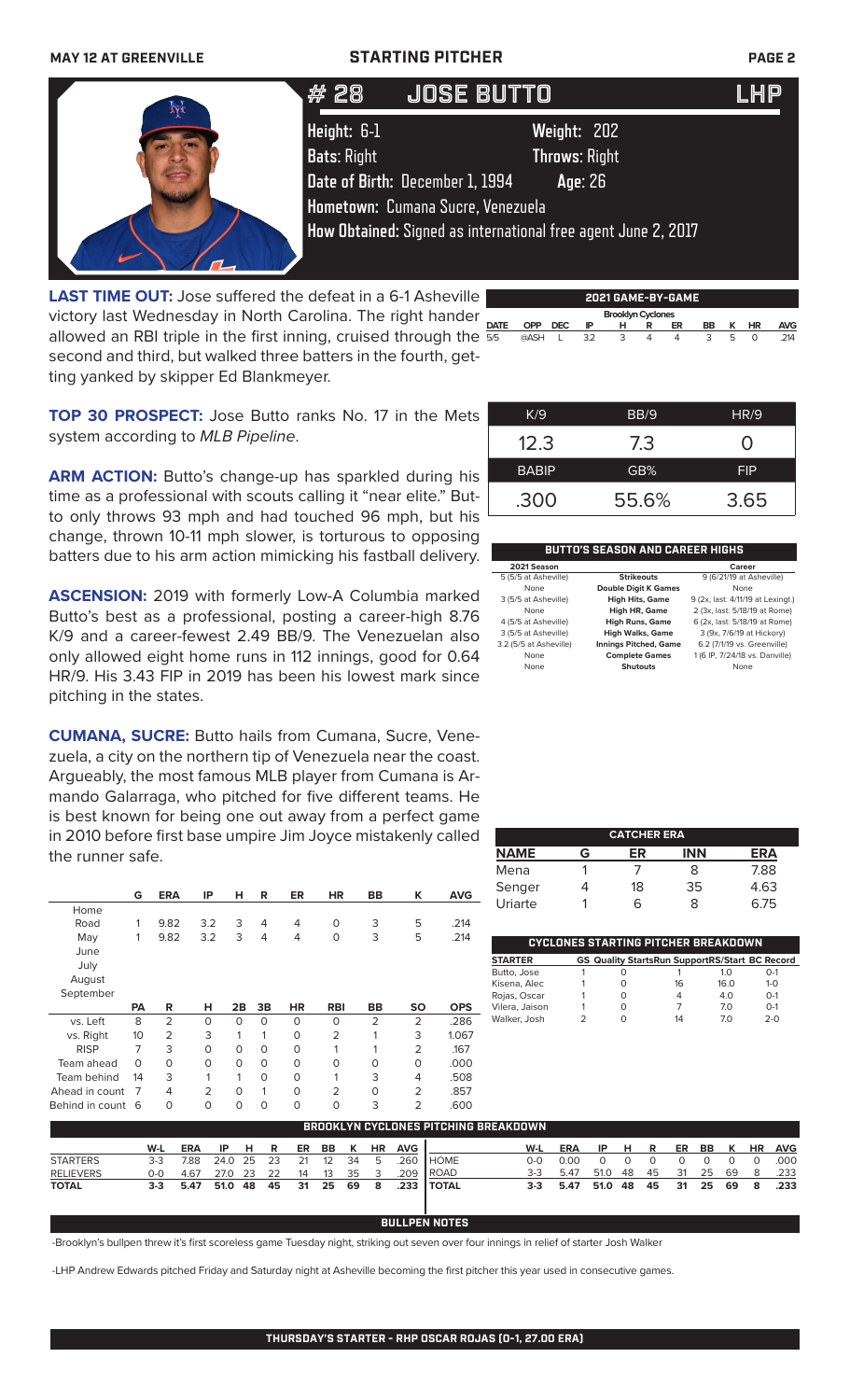|  |  |  | <b>MAY 12 AT GREENVILLE</b> |
|--|--|--|-----------------------------|
|--|--|--|-----------------------------|

### **MAY 12 AT AT AT AT AT AT AT AT AT AT A STARTING PITCHER PAGE 2**

| # 28                              | <b>JOSE BUTTO</b>                                                                                                                                                                       | LHP |
|-----------------------------------|-----------------------------------------------------------------------------------------------------------------------------------------------------------------------------------------|-----|
| Height: 6-1<br><b>Bats: Right</b> | Weight: 202<br><b>Throws: Right</b><br>Date of Birth: December 1, 1994<br>Age: 26<br>Hometown: Cumana Sucre, Venezuela<br>How Obtained: Signed as international free agent June 2, 2017 |     |

**Brooklyn Cyclone Brooklyn Cyclone**<br>**DATE OPP DEC IP H R LAST TIME OUT:** Jose suffered the defeat in a 6-1 Asheville victory last Wednesday in North Carolina. The right hander allowed an RBI triple in the first inning, cruised through the  $\frac{24}{55}$ second and third, but walked three batters in the fourth, getting yanked by skipper Ed Blankmeyer.

| K/9          | BB/9 | <b>HR/9</b> |
|--------------|------|-------------|
| 12.3         | 7.3  | 0           |
| <b>BABIP</b> | GB%  | FIP         |

**2021 GAME-BY-GAME**

5/5 @ASH L 3.2 3 4 4 3 5 0 .214

 $OPP$  **DEC** 

**TOP 30 PROSPECT:** Jose Butto ranks No. 17 in the Mets system according to *MLB Pipeline*.

ARM ACTION: Butto's change-up has sparkled during his time as a professional with scouts calling it "near elite." Butto only throws 93 mph and had touched 96 mph, but his change, thrown 10-11 mph slower, is torturous to opposing batters due to his arm action mimicking his fastball delivery.

**ASCENSION:** 2019 with formerly Low-A Columbia marked Butto's best as a professional, posting a career-high 8.76 K/9 and a career-fewest 2.49 BB/9. The Venezuelan also only allowed eight home runs in 112 innings, good for 0.64 HR/9. His 3.43 FIP in 2019 has been his lowest mark since pitching in the states.

**CUMANA, SUCRE:** Butto hails from Cumana, Sucre, Venezuela, a city on the northern tip of Venezuela near the coast. Argueably, the most famous MLB player from Cumana is Armando Galarraga, who pitched for five different teams. He is best known for being one out away from a perfect game in 2010 before first base umpire Jim Joyce mistakenly called the runner safe.

|                | G         | <b>ERA</b>     | IP             | н        | R           | <b>ER</b> | <b>HR</b>      | <b>BB</b>      | ĸ         | <b>AVG</b> |
|----------------|-----------|----------------|----------------|----------|-------------|-----------|----------------|----------------|-----------|------------|
| Home           |           |                |                |          |             |           |                |                |           |            |
| Road           | 1         | 9.82           | 3.2            | 3        | 4           | 4         | 0              | 3              | 5         | .214       |
| May            | 1         | 9.82           | 3.2            | 3        | 4           | 4         | 0              | 3              | 5         | .214       |
| June           |           |                |                |          |             |           |                |                |           |            |
| July           |           |                |                |          |             |           |                |                |           |            |
| August         |           |                |                |          |             |           |                |                |           |            |
| September      |           |                |                |          |             |           |                |                |           |            |
|                |           |                |                |          |             |           |                |                |           |            |
|                | <b>PA</b> | R              | н              | 2B       | 3B          | <b>HR</b> | <b>RBI</b>     | <b>BB</b>      | <b>SO</b> | <b>OPS</b> |
| vs. Left       | 8         | $\overline{2}$ | $\mathbf 0$    | O        | $\Omega$    | $\Omega$  | $\Omega$       | $\overline{2}$ | 2         | .286       |
| vs. Right      | 10        | $\overline{2}$ | 3              | 1        | 1           | $\circ$   | $\overline{2}$ | 1              | 3         | 1.067      |
| <b>RISP</b>    | 7         | 3              | $\Omega$       | $\Omega$ | $\Omega$    | $\Omega$  | 1              | 1              | 2         | .167       |
| Team ahead     | $\Omega$  | $\Omega$       | $\mathbf 0$    | $\Omega$ | $\Omega$    | $\Omega$  | 0              | 0              | O         | .000       |
| Team behind    | 14        | 3              | 1              | 1        | $\mathbf 0$ | $\Omega$  | 1              | 3              | 4         | .508       |
| Ahead in count | 7         | 4              | $\overline{2}$ | $\Omega$ | 1           | $\Omega$  | $\overline{2}$ | 0              | 2         | .857       |

.300 55.6% 3.65

| BUTTO'S SEASON AND CAREER HIGHS |                              |                                   |  |  |  |  |  |  |
|---------------------------------|------------------------------|-----------------------------------|--|--|--|--|--|--|
| 2021 Season                     |                              | Career                            |  |  |  |  |  |  |
| 5 (5/5 at Asheville)            | <b>Strikeouts</b>            | 9 (6/21/19 at Asheville)          |  |  |  |  |  |  |
| None                            | <b>Double Digit K Games</b>  | None                              |  |  |  |  |  |  |
| 3 (5/5 at Asheville)            | <b>High Hits, Game</b>       | 9 (2x, last: 4/11/19 at Lexingt.) |  |  |  |  |  |  |
| None                            | High HR, Game                | 2 (3x, last: 5/18/19 at Rome)     |  |  |  |  |  |  |
| 4 (5/5 at Asheville)            | <b>High Runs, Game</b>       | 6 (2x, last: 5/18/19 at Rome)     |  |  |  |  |  |  |
| 3 (5/5 at Asheville)            | <b>High Walks, Game</b>      | 3 (9x, 7/6/19 at Hickory)         |  |  |  |  |  |  |
| 3.2 (5/5 at Asheville)          | <b>Innings Pitched, Game</b> | 6.2 (7/1/19 vs. Greenville)       |  |  |  |  |  |  |
| None                            | <b>Complete Games</b>        | 1 (6 IP, 7/24/18 vs. Danville)    |  |  |  |  |  |  |
| None                            | <b>Shutouts</b>              | None                              |  |  |  |  |  |  |

|             |   | <b>CATCHER ERA</b> |            |      |
|-------------|---|--------------------|------------|------|
| <b>NAME</b> | G | ER                 | <b>INN</b> | ERA  |
| Mena        |   |                    | 8          | 7.88 |
| Senger      |   | 18                 | 35         | 4.63 |
| Uriarte     |   | ൳                  | x          | 6.75 |

|                |   | <b>CYCLONES STARTING PITCHER BREAKDOWN</b>            |                |         |
|----------------|---|-------------------------------------------------------|----------------|---------|
| <b>STARTER</b> |   | <b>GS Quality StartsRun SupportRS/Start BC Record</b> |                |         |
| Butto, Jose    |   |                                                       | 1 <sub>O</sub> | $O-1$   |
| Kisena, Alec   | O | 16                                                    | 16 O           | $1 - 0$ |
| Rojas, Oscar   | Ω | 4                                                     | 40             | $O-1$   |
| Vilera, Jaison | Ω |                                                       | 70             | $O-1$   |
| Walker, Josh   | Ω | 14                                                    | 70             | $2 - 0$ |

| <b>BROOKLYN CYCLONES PITCHING BREAKDOWN</b> |         |            |         |      |      |     |                   |    |           |            |              |       |            |      |     |    |     |    |    |           |            |
|---------------------------------------------|---------|------------|---------|------|------|-----|-------------------|----|-----------|------------|--------------|-------|------------|------|-----|----|-----|----|----|-----------|------------|
|                                             | W-L     | <b>ERA</b> | IP.     | H    | R    | ER. | BB                | K  | <b>HR</b> | <b>AVG</b> |              | W-L   | <b>ERA</b> | IP   | н.  | R  | ER. | BB | K  | <b>HR</b> | <b>AVG</b> |
| <b>STARTERS</b>                             | $3-3$   | 7.88       | 24.0 25 |      | - 23 | 21  | $12 \overline{ }$ | 34 | - 5       | .260       | I HOME       | റ-റ   | n nn       |      |     |    |     |    |    |           | .000       |
| <b>RELIEVERS</b>                            | 0-0     | 4.67       | 27.0    | - 23 | 22   | 14  | 13                | 35 |           | 209        | l ROAD       | $3-3$ | 5.47       | 51.0 | -48 | 45 | 31  | 25 | 69 | 8         | .233       |
| <b>TOTAL</b>                                | $3 - 3$ | 5.47       | 51.0 48 |      | 45   | 31  | - 25              | 69 | - 8       |            | .233   TOTAL | $3-3$ | 5.47       | 51.0 | -48 | 45 | 31  | 25 | 69 | 8         | .233       |

### **BULLPEN NOTES**

-Brooklyn's bullpen threw it's first scoreless game Tuesday night, striking out seven over four innings in relief of starter Josh Walker

-LHP Andrew Edwards pitched Friday and Saturday night at Asheville becoming the first pitcher this year used in consecutive games.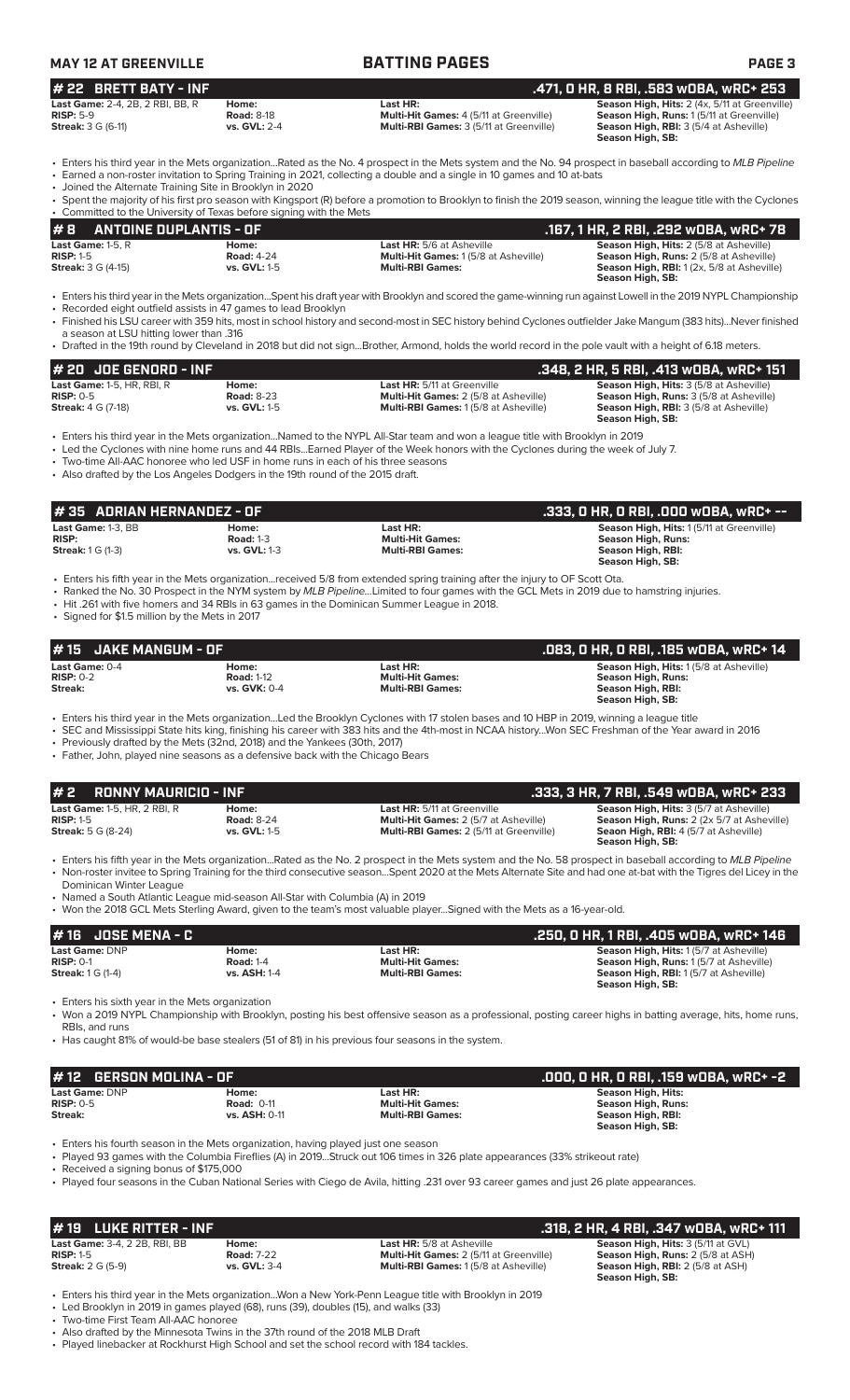| <b>MAY 12 AT GREENVILLE</b>                                        |                              | <b>BATTING PAGES</b>                                         | <b>PAGE 3</b>                                        |
|--------------------------------------------------------------------|------------------------------|--------------------------------------------------------------|------------------------------------------------------|
| $#$ 22 BRETT BATY - INF                                            |                              |                                                              | .471. 0 HR. 8 RBI. .583 w0BA. wRC+ 253               |
| <b>Last Game:</b> 2-4, 2B, 2 RBI, BB, R                            | Home:                        | Last HR:                                                     | <b>Season High, Hits: 2 (4x, 5/11 at Greenville)</b> |
| $\mathbf{D}$ $\mathbf{E}$ $\mathbf{D}$ . $\mathbf{E}$ $\mathbf{D}$ | $D_{\alpha}$ $\sim$ dic 0.10 | Multi $\Box$ it Caması $\Lambda$ ( $\Box$ /11 at Croopyillo) | Concan High Bunce $1/2/12 + C$ convilled             |

| .                 |
|-------------------|
| <b>Road: 8-18</b> |
| vs. GVL: 2-4      |
|                   |

**RISP:** 5-9 **Road:** 8-18 **Road: 8-18 <b>Multi-Hit Games:** 4 (5/11 at Greenville) **Season High, Runs:** 1 (5/11 at Greenville)<br>2014 **Season High, RBI:** 3 (5/4 at Asheville) **Season High, RBI:** 3 (5/4 at Asheville) **Multi-RBI Games:**  $3$  (5/11 at Greenville)

**Season High, SB:** 

• Enters his third year in the Mets organization...Rated as the No. 4 prospect in the Mets system and the No. 94 prospect in baseball according to *MLB Pipeline* • Earned a non-roster invitation to Spring Training in 2021, collecting a double and a single in 10 games and 10 at-bats

• Joined the Alternate Training Site in Brooklyn in 2020

| • Spent the majority of his first pro season with Kingsport (R) before a promotion to Brooklyn to finish the 2019 season, winning the league title with the Cyclones<br>• Committed to the University of Texas before signing with the Mets |  |
|---------------------------------------------------------------------------------------------------------------------------------------------------------------------------------------------------------------------------------------------|--|
|                                                                                                                                                                                                                                             |  |
|                                                                                                                                                                                                                                             |  |

| #B<br><b>ANTOINE DUPLANTIS - OF</b> |                   |                                             | , 167, 1 HR, 2 RBI, .292 wOBA, wRC+ 78. ا        |
|-------------------------------------|-------------------|---------------------------------------------|--------------------------------------------------|
| Last Game: 1-5. $R$                 | Home:             | <b>Last HR:</b> 5/6 at Asheville            | <b>Season High, Hits: 2 (5/8 at Asheville)</b>   |
| $RISP: 1-5$                         | <b>Road: 4-24</b> | <b>Multi-Hit Games: 1(5/8 at Asheville)</b> | <b>Season High, Runs: 2 (5/8 at Asheville)</b>   |
| <b>Streak:</b> 3 G (4-15)           | vs. GVL: 1-5      | <b>Multi-RBI Games:</b>                     | <b>Season High, RBI:</b> 1(2x, 5/8 at Asheville) |
|                                     |                   |                                             | Season High, SB:                                 |

• Enters his third year in the Mets organization...Spent his draft year with Brooklyn and scored the game-winning run against Lowell in the 2019 NYPL Championship Recorded eight outfield assists in 47 games to lead Brooklyn

• Finished his LSU career with 359 hits, most in school history and second-most in SEC history behind Cyclones outfielder Jake Mangum (383 hits)...Never finished a season at LSU hitting lower than .316

• Drafted in the 19th round by Cleveland in 2018 but did not sign...Brother, Armond, holds the world record in the pole vault with a height of 6.18 meters.

| $#$ 20 JOE GENORD - INF    |                   |                                              | .348, 2 HR, 5 RBI, .413 wOBA, wRC+ 151,        |
|----------------------------|-------------------|----------------------------------------------|------------------------------------------------|
| Last Game: 1-5, HR, RBI, R | Home:             | Last HR: 5/11 at Greenville                  | <b>Season High, Hits: 3 (5/8 at Asheville)</b> |
| $RISP: 0-5$                | <b>Road: 8-23</b> | <b>Multi-Hit Games: 2 (5/8 at Asheville)</b> | <b>Season High, Runs: 3 (5/8 at Asheville)</b> |
| <b>Streak: 4 G (7-18)</b>  | vs. GVL: 1-5      | <b>Multi-RBI Games: 1(5/8 at Asheville)</b>  | <b>Season High, RBI: 3 (5/8 at Asheville)</b>  |
|                            |                   |                                              | Season High, SB:                               |

• Enters his third year in the Mets organization...Named to the NYPL All-Star team and won a league title with Brooklyn in 2019

• Led the Cyclones with nine home runs and 44 RBIs...Earned Player of the Week honors with the Cyclones during the week of July 7.

• Two-time All-AAC honoree who led USF in home runs in each of his three seasons

• Also drafted by the Los Angeles Dodgers in the 19th round of the 2015 draft.

| $#35$ ADRIAN HERNANDEZ - OF<br>.333, O HR, O RBI, .000 wOBA, wRC+ --  |                                                  |                                                                                                                                                                                                                                                                           |                                                                                                                       |
|-----------------------------------------------------------------------|--------------------------------------------------|---------------------------------------------------------------------------------------------------------------------------------------------------------------------------------------------------------------------------------------------------------------------------|-----------------------------------------------------------------------------------------------------------------------|
| <b>Last Game:</b> 1-3. BB<br><b>RISP:</b><br><b>Streak:</b> 1 G (1-3) | Home:<br><b>Road: 1-3</b><br><b>vs. GVL: 1-3</b> | Last HR:<br><b>Multi-Hit Games:</b><br><b>Multi-RBI Games:</b>                                                                                                                                                                                                            | <b>Season High, Hits: 1(5/11 at Greenville)</b><br><b>Season High, Runs:</b><br>Season High, RBI:<br>Season High, SB: |
|                                                                       |                                                  | • Enters his fifth year in the Mets organizationreceived 5/8 from extended spring training after the injury to OF Scott Ota.<br>• Panked the No. 30 Procnect in the NVM system by MLR Pineline. Limited to four games with the GCL Mets in 2019 due to hamstring injuries |                                                                                                                       |

• Ranked the No. 30 Prospect in the NYM system by *MLB Pipeline...*Limited to four games with the GCL Mets in 2019 due to hamstring injuries.

• Hit .261 with five homers and 34 RBIs in 63 games in the Dominican Summer League in 2018.

Signed for \$1.5 million by the Mets in 2017

| $#15$ JAKE MANGUM - OF                               |                                                   |                                                                | .083, 0 HR, 0 RBI, .185 w0BA, wRC+ 14                                                                        |
|------------------------------------------------------|---------------------------------------------------|----------------------------------------------------------------|--------------------------------------------------------------------------------------------------------------|
| <b>Last Game:</b> 0-4<br><b>RISP: 0-2</b><br>Streak: | Home:<br><b>Road: 1-12</b><br><b>vs. GVK: 0-4</b> | Last HR:<br><b>Multi-Hit Games:</b><br><b>Multi-RBI Games:</b> | <b>Season High, Hits: 1(5/8 at Asheville)</b><br>Season High, Runs:<br>Season High, RBI:<br>Season High, SB: |
|                                                      |                                                   |                                                                |                                                                                                              |

• Enters his third year in the Mets organization...Led the Brooklyn Cyclones with 17 stolen bases and 10 HBP in 2019, winning a league title

• SEC and Mississippi State hits king, finishing his career with 383 hits and the 4th-most in NCAA history...Won SEC Freshman of the Year award in 2016 Previously drafted by the Mets (32nd, 2018) and the Yankees (30th, 2017)

• Father, John, played nine seasons as a defensive back with the Chicago Bears

| $# 2$ RONNY MAURICIO - INF                                                      |                                                   |                                                                                                                                                              | .333, 3 HR, 7 RBI, .549 wOBA, wRC+ 233                                                                                                                           |
|---------------------------------------------------------------------------------|---------------------------------------------------|--------------------------------------------------------------------------------------------------------------------------------------------------------------|------------------------------------------------------------------------------------------------------------------------------------------------------------------|
| <b>Last Game: 1-5. HR. 2 RBI. R</b><br>$RISP: 1-5$<br><b>Streak:</b> 5 G (8-24) | Home:<br><b>Road: 8-24</b><br><b>vs. GVL: 1-5</b> | <b>Last HR:</b> 5/11 at Greenville<br><b>Multi-Hit Games: 2 (5/7 at Asheville)</b><br><b>Multi-RBI Games: 2 (5/11 at Greenville)</b>                         | <b>Season High, Hits: 3 (5/7 at Asheville)</b><br>Season High, Runs: 2 (2x 5/7 at Asheville)<br><b>Seaon High, RBI:</b> 4 (5/7 at Asheville)<br>Season High, SB: |
|                                                                                 |                                                   | • Enters his fifth year in the Mets organizationRated as the No. 2 prospect in the Mets system and the No. 58 prospect in baseball according to MLB Pipeline |                                                                                                                                                                  |

• Non-roster invitee to Spring Training for the third consecutive season...Spent 2020 at the Mets Alternate Site and had one at-bat with the Tigres del Licey in the Dominican Winter League

• Named a South Atlantic League mid-season All-Star with Columbia (A) in 2019

• Won the 2018 GCL Mets Sterling Award, given to the team's most valuable player...Signed with the Mets as a 16-year-old.

| # 16 JOSE MENA - C       |                     |                         | .250. O HR. 1 RBI. .405 wOBA. wRC+ 146        |
|--------------------------|---------------------|-------------------------|-----------------------------------------------|
| <b>Last Game: DNP</b>    | Home:               | Last HR:                | <b>Season High, Hits: 1(5/7 at Asheville)</b> |
| $RISP: 0-1$              | <b>Road: 1-4</b>    | <b>Multi-Hit Games:</b> | Season High, Runs: 1(5/7 at Asheville)        |
| <b>Streak:</b> 1 G (1-4) | <b>vs. ASH: 1-4</b> | <b>Multi-RBI Games:</b> | <b>Season High, RBI: 1(5/7 at Asheville)</b>  |
|                          |                     |                         | Season High, SB:                              |

• Enters his sixth year in the Mets organization

• Won a 2019 NYPL Championship with Brooklyn, posting his best offensive season as a professional, posting career highs in batting average, hits, home runs, RBIs, and runs

• Has caught 81% of would-be base stealers (51 of 81) in his previous four seasons in the system.

| $#$ 12 GERSON MOLINA - OF |                      |                         | .000. 0 HR. 0 RBI. .159 w0BA. wRC+ -2 |
|---------------------------|----------------------|-------------------------|---------------------------------------|
| <b>Last Game: DNP</b>     | Home:                | Last HR:                | Season High, Hits:                    |
| $RISP: 0-5$               | <b>Road: 0-11</b>    | <b>Multi-Hit Games:</b> | Season High, Runs:                    |
| Streak:                   | <b>vs. ASH: 0-11</b> | <b>Multi-RBI Games:</b> | Season High, RBI:<br>Season High, SB: |

• Enters his fourth season in the Mets organization, having played just one season

• Played 93 games with the Columbia Fireflies (A) in 2019...Struck out 106 times in 326 plate appearances (33% strikeout rate)

• Received a signing bonus of \$175,000

• Played four seasons in the Cuban National Series with Ciego de Avila, hitting .231 over 93 career games and just 26 plate appearances.

| $#$ 19 LUKE RITTER - INF                                                        |                                                   |                                                                                                                                   | .318, 2 HR, 4 RBI, .347 wOBA, wRC+ 111                                                                                                        |
|---------------------------------------------------------------------------------|---------------------------------------------------|-----------------------------------------------------------------------------------------------------------------------------------|-----------------------------------------------------------------------------------------------------------------------------------------------|
| <b>Last Game: 3-4, 2 2B, RBI, BB</b><br>$RISP: 1-5$<br><b>Streak: 2 G (5-9)</b> | Home:<br><b>Road: 7-22</b><br><b>vs. GVL: 3-4</b> | <b>Last HR:</b> 5/8 at Asheville<br><b>Multi-Hit Games:</b> 2 (5/11 at Greenville)<br><b>Multi-RBI Games: 1(5/8 at Asheville)</b> | <b>Season High, Hits: 3 (5/11 at GVL)</b><br>Season High, Runs: 2 (5/8 at ASH)<br><b>Season High, RBI:</b> 2 (5/8 at ASH)<br>Season High, SB: |

• Enters his third year in the Mets organization...Won a New York-Penn League title with Brooklyn in 2019 Led Brooklyn in 2019 in games played (68), runs (39), doubles (15), and walks (33)

• Two-time First Team All-AAC honoree

• Also drafted by the Minnesota Twins in the 37th round of the 2018 MLB Draft

• Played linebacker at Rockhurst High School and set the school record with 184 tackles.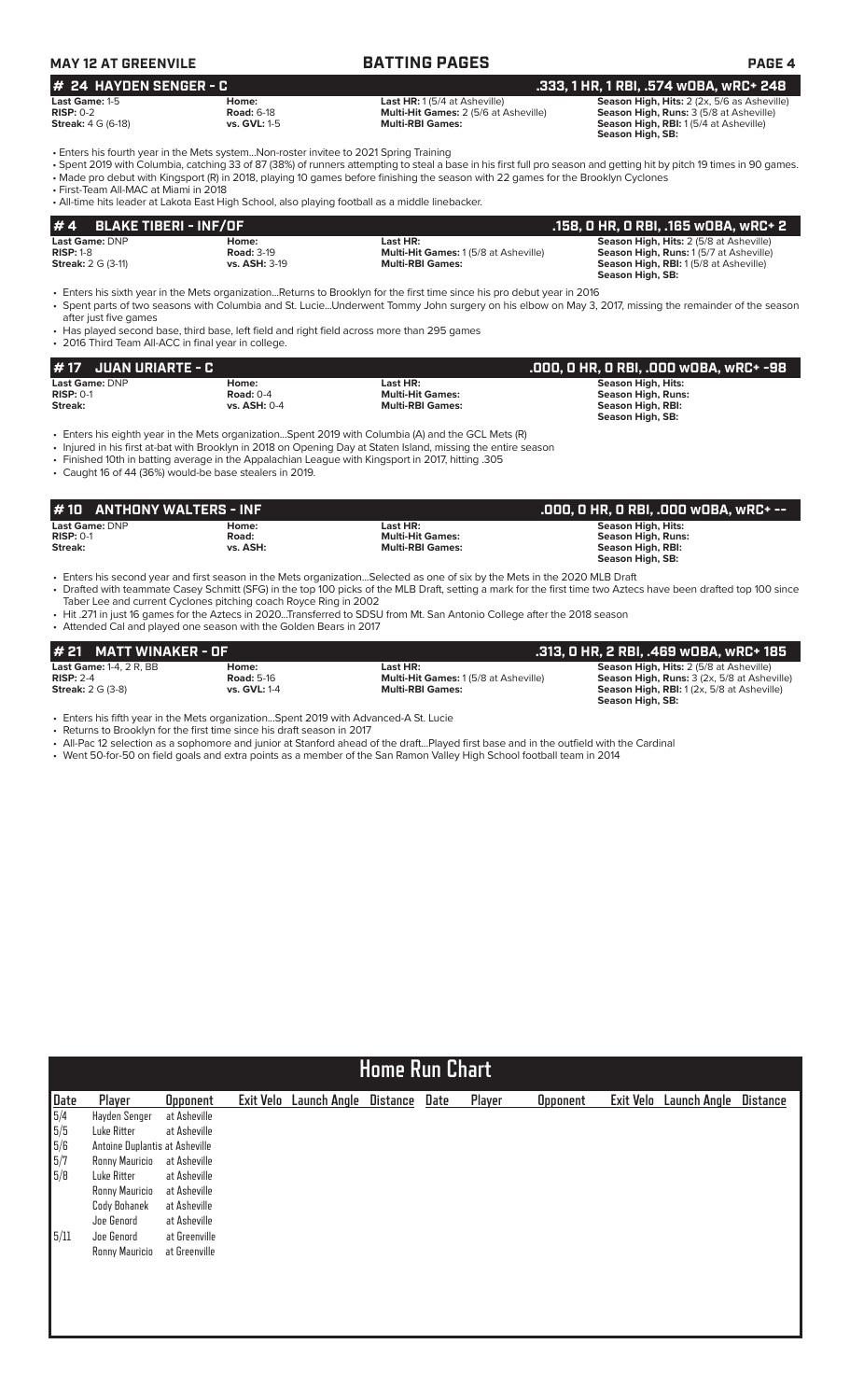| <b>MAY 12 AT GREENVILE</b><br>$#$ 24 HAYDEN SENGER - C |                   | <b>BATTING PAGES</b>                         | <b>PAGE 4</b>                                      |
|--------------------------------------------------------|-------------------|----------------------------------------------|----------------------------------------------------|
|                                                        |                   | . 333, 1 HR, 1 RBI, .574 wOBA, wRC+ 248 ,    |                                                    |
| Last Game: 1-5                                         | Home:             | <b>Last HR:</b> $1(5/4$ at Asheville)        | <b>Season High, Hits:</b> 2 (2x, 5/6 as Asheville) |
| $RISP: 0-2$                                            | <b>Road: 6-18</b> | <b>Multi-Hit Games: 2 (5/6 at Asheville)</b> | <b>Season High, Runs:</b> 3 (5/8 at Asheville)     |

**Streak:** 4 G (6-18) **vs. GVL:** 1-5 **vs. GVL:** 1-5 **Multi-RBI Games:** Season High, RBI: 1 (5/4 at Asheville) **Streak:** 4 G (6-18) **Season High, SB:** 

• Enters his fourth year in the Mets system...Non-roster invitee to 2021 Spring Training

• Spent 2019 with Columbia, catching 33 of 87 (38%) of runners attempting to steal a base in his first full pro season and getting hit by pitch 19 times in 90 games. • Made pro debut with Kingsport (R) in 2018, playing 10 games before finishing the season with 22 games for the Brooklyn Cyclones

• First-Team All-MAC at Miami in 2018

• All-time hits leader at Lakota East High School, also playing football as a middle linebacker.

| $# 4$ BLAKE TIBERI - INF/OF |                   |                                             | .158, 0 HR, 0 RBI, .165 w0BA, wRC+ 2           |
|-----------------------------|-------------------|---------------------------------------------|------------------------------------------------|
| <b>Last Game: DNP</b>       | Home:             | Last HR:                                    | <b>Season High, Hits: 2 (5/8 at Asheville)</b> |
| $RISP: 1-8$                 | <b>Road: 3-19</b> | <b>Multi-Hit Games: 1(5/8 at Asheville)</b> | <b>Season High, Runs: 1(5/7 at Asheville)</b>  |
| <b>Streak: 2 G (3-11)</b>   | vs. ASH: 3-19     | <b>Multi-RBI Games:</b>                     | <b>Season High, RBI:</b> 1(5/8 at Asheville)   |
|                             |                   |                                             | Season High, SB:                               |

• Enters his sixth year in the Mets organization...Returns to Brooklyn for the first time since his pro debut year in 2016

• Spent parts of two seasons with Columbia and St. Lucie...Underwent Tommy John surgery on his elbow on May 3, 2017, missing the remainder of the season after just five games

• Has played second base, third base, left field and right field across more than 295 games

• 2016 Third Team All-ACC in final year in college.

| $# 17$ JUAN URIARTE - C |                     |                         | .000, 0 HR, 0 RBI, .000 w0BA, wRC+ -98 |
|-------------------------|---------------------|-------------------------|----------------------------------------|
| Last Game: DNP          | Home:               | Last HR:                | Season High, Hits:                     |
| $RISP: 0-1$             | Road: $0-4$         | <b>Multi-Hit Games:</b> | <b>Season High, Runs:</b>              |
| Streak:                 | <b>vs. ASH: 0-4</b> | <b>Multi-RBI Games:</b> | Season High, RBI:                      |
|                         |                     |                         | Season High, SB:                       |

• Enters his eighth year in the Mets organization...Spent 2019 with Columbia (A) and the GCL Mets (R)

• Injured in his first at-bat with Brooklyn in 2018 on Opening Day at Staten Island, missing the entire season

• Finished 10th in batting average in the Appalachian League with Kingsport in 2017, hitting .305

• Caught 16 of 44 (36%) would-be base stealers in 2019.

| #10 ANTHONY WALTERS - INF     |                |                                     | .000, O HR, O RBI, .000 wOBA, wRC+ -- ,                |
|-------------------------------|----------------|-------------------------------------|--------------------------------------------------------|
| Last Game: DNP<br>$RISP: 0-1$ | Home:<br>Road: | Last HR:<br><b>Multi-Hit Games:</b> | <b>Season High, Hits:</b><br><b>Season High, Runs:</b> |
| Streak:                       | vs. ASH:       | <b>Multi-RBI Games:</b><br>.        | Season High, RBI:<br>Season High, SB:                  |

• Enters his second year and first season in the Mets organization...Selected as one of six by the Mets in the 2020 MLB Draft • Drafted with teammate Casey Schmitt (SFG) in the top 100 picks of the MLB Draft, setting a mark for the first time two Aztecs have been drafted top 100 since Taber Lee and current Cyclones pitching coach Royce Ring in 2002

• Hit .271 in just 16 games for the Aztecs in 2020...Transferred to SDSU from Mt. San Antonio College after the 2018 season

• Attended Cal and played one season with the Golden Bears in 2017

| # 21 MATT WINAKER - OF                                                    |                                            |                                                                                    | .313, 0 HR, 2 RBI, .469 w0BA, wRC+ 185                                                                                                                                       |
|---------------------------------------------------------------------------|--------------------------------------------|------------------------------------------------------------------------------------|------------------------------------------------------------------------------------------------------------------------------------------------------------------------------|
| <b>Last Game: 1-4, 2 R, BB</b><br>$RISP: 2-4$<br><b>Streak: 2 G (3-8)</b> | Home:<br><b>Road: 5-16</b><br>vs. GVL: 1-4 | Last HR:<br><b>Multi-Hit Games: 1(5/8 at Asheville)</b><br><b>Multi-RBI Games:</b> | <b>Season High, Hits: 2 (5/8 at Asheville)</b><br><b>Season High, Runs: 3 (2x, 5/8 at Asheville)</b><br><b>Season High, RBI:</b> 1(2x, 5/8 at Asheville)<br>Season High, SB: |

• Enters his fifth year in the Mets organization...Spent 2019 with Advanced-A St. Lucie

• Returns to Brooklyn for the first time since his draft season in 2017

• All-Pac 12 selection as a sophomore and junior at Stanford ahead of the draft...Played first base and in the outfield with the Cardinal

• Went 50-for-50 on field goals and extra points as a member of the San Ramon Valley High School football team in 2014

| <b>Home Run Chart</b> |                 |                                                                                                 |                     |                 |      |        |                 |           |                     |                 |  |  |
|-----------------------|-----------------|-------------------------------------------------------------------------------------------------|---------------------|-----------------|------|--------|-----------------|-----------|---------------------|-----------------|--|--|
| Player                | <b>Opponent</b> | Exit Velo                                                                                       | <b>Launch Angle</b> | <b>Distance</b> | Date | Player | <b>Opponent</b> | Exit Velo | <b>Launch Angle</b> | <b>Distance</b> |  |  |
| Hayden Senger         | at Asheville    |                                                                                                 |                     |                 |      |        |                 |           |                     |                 |  |  |
| Luke Ritter           | at Asheville    |                                                                                                 |                     |                 |      |        |                 |           |                     |                 |  |  |
|                       |                 |                                                                                                 |                     |                 |      |        |                 |           |                     |                 |  |  |
| Ronny Mauricio        |                 |                                                                                                 |                     |                 |      |        |                 |           |                     |                 |  |  |
| Luke Ritter           |                 |                                                                                                 |                     |                 |      |        |                 |           |                     |                 |  |  |
| Ronny Mauricio        | at Asheville    |                                                                                                 |                     |                 |      |        |                 |           |                     |                 |  |  |
| Cody Bohanek          |                 |                                                                                                 |                     |                 |      |        |                 |           |                     |                 |  |  |
| Joe Genord            | at Asheville    |                                                                                                 |                     |                 |      |        |                 |           |                     |                 |  |  |
| Joe Genord            | at Greenville   |                                                                                                 |                     |                 |      |        |                 |           |                     |                 |  |  |
| Ronny Mauricio        |                 |                                                                                                 |                     |                 |      |        |                 |           |                     |                 |  |  |
|                       |                 |                                                                                                 |                     |                 |      |        |                 |           |                     |                 |  |  |
|                       |                 |                                                                                                 |                     |                 |      |        |                 |           |                     |                 |  |  |
|                       |                 |                                                                                                 |                     |                 |      |        |                 |           |                     |                 |  |  |
|                       |                 | Antoine Duplantis at Asheville<br>at Asheville<br>at Asheville<br>at Asheville<br>at Greenville |                     |                 |      |        |                 |           |                     |                 |  |  |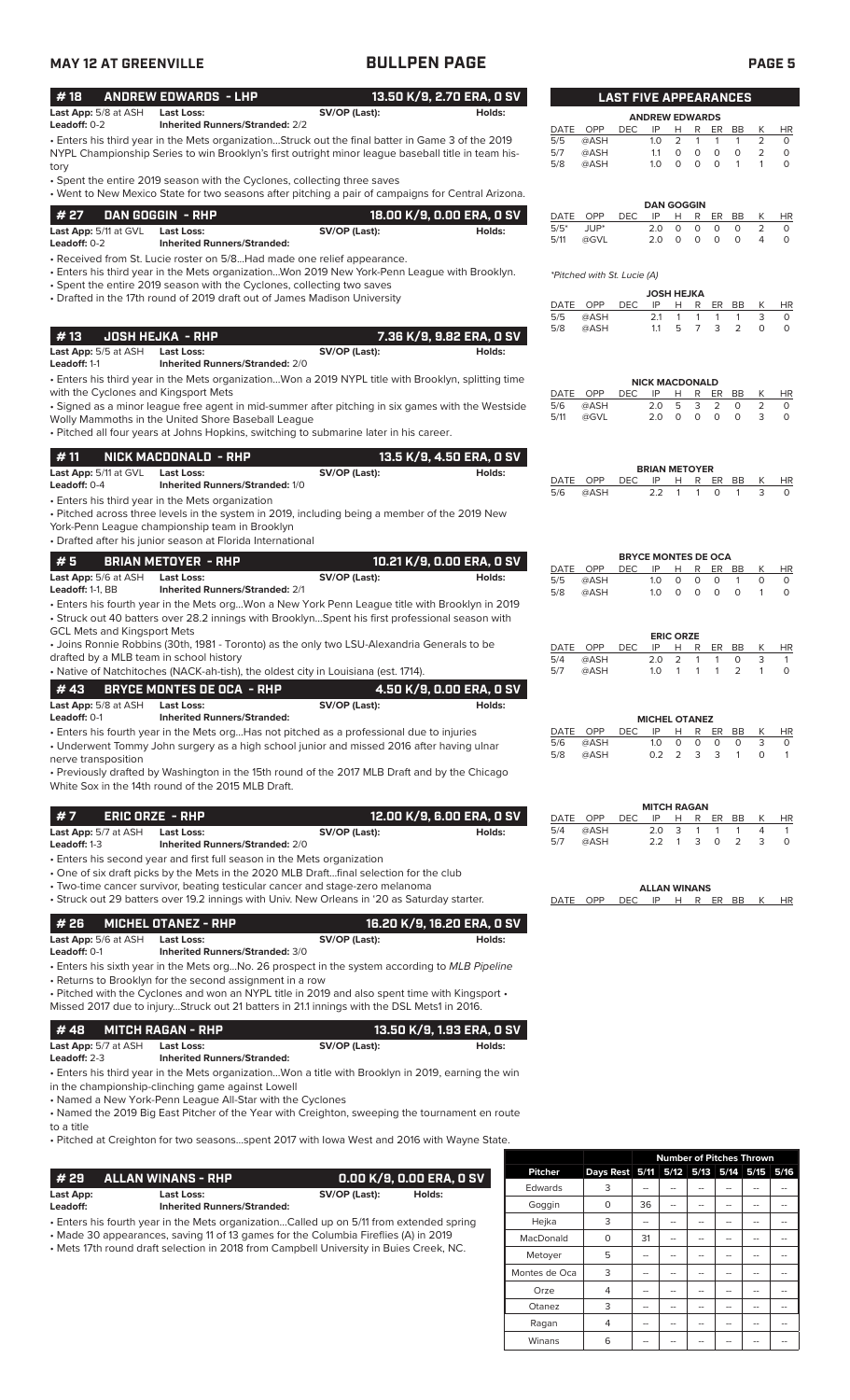## **MAY 12 AT GREENVILLE BULLPEN PAGE PAGE 5**

| #18                                           | <b>ANDREW EDWARDS - LHP</b>                                                                                                                                                                                                                                                                                                                                |               | 13.50 K/9, 2.70 ERA, 0 SV           |                               |                                    | <b>LAST FIVE APPEARANCES</b> |                         |                                                           |                                                                |                                               |                   |                                       |
|-----------------------------------------------|------------------------------------------------------------------------------------------------------------------------------------------------------------------------------------------------------------------------------------------------------------------------------------------------------------------------------------------------------------|---------------|-------------------------------------|-------------------------------|------------------------------------|------------------------------|-------------------------|-----------------------------------------------------------|----------------------------------------------------------------|-----------------------------------------------|-------------------|---------------------------------------|
| Last App: 5/8 at ASH                          | <b>Last Loss:</b>                                                                                                                                                                                                                                                                                                                                          | SV/OP (Last): | Holds:                              |                               |                                    |                              |                         | <b>ANDREW EDWARDS</b>                                     |                                                                |                                               |                   |                                       |
| Leadoff: 0-2                                  | <b>Inherited Runners/Stranded: 2/2</b><br>• Enters his third year in the Mets organizationStruck out the final batter in Game 3 of the 2019<br>NYPL Championship Series to win Brooklyn's first outright minor league baseball title in team his-                                                                                                          |               |                                     | DATE OPP<br>5/5<br>5/7<br>5/8 | @ASH<br>@ASH<br>@ASH               | <b>DEC</b>                   | IP<br>1.0<br>1.1<br>1.0 | H.<br>2<br>$\circ$<br>$\circ$<br>$\circ$                  | R<br>ER<br>$\mathbf{1}$<br>1<br>0<br>$\circ$<br>$\circ$        | BB<br>$\mathbf{1}$<br>$\circ$<br>$\mathbf{1}$ | К<br>2<br>2<br>1  | <b>HR</b><br>0<br>$\circ$<br>$\Omega$ |
| tory                                          | • Spent the entire 2019 season with the Cyclones, collecting three saves<br>• Went to New Mexico State for two seasons after pitching a pair of campaigns for Central Arizona.                                                                                                                                                                             |               |                                     |                               |                                    |                              |                         | <b>DAN GOGGIN</b>                                         |                                                                |                                               |                   |                                       |
| # 27<br>Last App: 5/11 at GVL<br>Leadoff: 0-2 | DAN GOGGIN - RHP<br><b>Last Loss:</b><br><b>Inherited Runners/Stranded:</b>                                                                                                                                                                                                                                                                                | SV/OP (Last): | 18.00 K/9, 0.00 ERA, 0 SV<br>Holds: | DATE<br>$5/5*$<br>5/11        | OPP<br>JUP*<br>@GVL                | <b>DEC</b>                   | IP<br>2.0<br>2.0        | н<br>0<br>$\circ$                                         | R<br>ER<br>$\mathbf 0$<br>$\circ$<br>$\circ$<br>$\circ$        | BB<br>$\circ$<br>$\circ$                      | К<br>2<br>4       | <b>HR</b><br>$\circ$<br>$\circ$       |
|                                               | • Received from St. Lucie roster on 5/8Had made one relief appearance.<br>• Enters his third year in the Mets organizationWon 2019 New York-Penn League with Brooklyn.<br>• Spent the entire 2019 season with the Cyclones, collecting two saves                                                                                                           |               |                                     |                               | <i>*Pitched with St. Lucie (A)</i> |                              |                         |                                                           |                                                                |                                               |                   |                                       |
|                                               | • Drafted in the 17th round of 2019 draft out of James Madison University                                                                                                                                                                                                                                                                                  |               |                                     | DATE OPP<br>5/5<br>5/8        | @ASH<br>@ASH                       | <b>DEC</b>                   | IP<br>2.1<br>1.1        | <b>JOSH HEJKA</b><br>Н<br>$\mathbf{1}$<br>5               | R<br>ER<br>$\mathbf{1}$<br>$\mathbf{1}$<br>$\overline{7}$<br>3 | BB<br>1<br>$\overline{2}$                     | К<br>3<br>$\circ$ | HR<br>0<br>$\circ$                    |
| #13<br>Last App: 5/5 at ASH<br>Leadoff: 1-1   | <b>JOSH HEJKA - RHP</b><br><b>Last Loss:</b><br><b>Inherited Runners/Stranded: 2/0</b>                                                                                                                                                                                                                                                                     | SV/OP (Last): | 7.36 K/9, 9.82 ERA, 0 SV<br>Holds:  |                               |                                    |                              |                         |                                                           |                                                                |                                               |                   |                                       |
| with the Cyclones and Kingsport Mets          | . Enters his third year in the Mets organizationWon a 2019 NYPL title with Brooklyn, splitting time                                                                                                                                                                                                                                                        |               |                                     | DATE OPP                      |                                    | <b>DEC</b>                   | IP                      | <b>NICK MACDONALD</b><br>н                                | R<br>ER                                                        | BB                                            | Κ                 | <b>HR</b>                             |
|                                               | • Signed as a minor league free agent in mid-summer after pitching in six games with the Westside<br>Wolly Mammoths in the United Shore Baseball League<br>. Pitched all four years at Johns Hopkins, switching to submarine later in his career.                                                                                                          |               |                                     | 5/6<br>5/11                   | @ASH<br>@GVL                       |                              | 2.0<br>2.0              | 5<br>$\circ$<br>$\circ$                                   | 3<br>2<br>$\circ$                                              | 0<br>$\circ$                                  | 2<br>3            | 0<br>0                                |
| #11<br>Last App: 5/11 at GVL                  | NICK MACDONALD - RHP<br><b>Last Loss:</b>                                                                                                                                                                                                                                                                                                                  | SV/OP (Last): | 13.5 K/9, 4.50 ERA, 0 SV<br>Holds:  | DATE OPP                      |                                    | <b>DEC</b>                   | IP                      | <b>BRIAN METOYER</b><br>Н<br>R                            | ER                                                             | BB                                            | Κ                 | HR                                    |
| Leadoff: 0-4                                  | <b>Inherited Runners/Stranded: 1/0</b><br>• Enters his third year in the Mets organization<br>. Pitched across three levels in the system in 2019, including being a member of the 2019 New<br>York-Penn League championship team in Brooklyn<br>• Drafted after his junior season at Florida International                                                |               |                                     | 5/6                           | @ASH                               |                              | 2.2                     | $\mathbf{1}$                                              | $\circ$<br>$\mathbf{1}$                                        | 1                                             | 3                 | $\Omega$                              |
| #5                                            | <b>BRIAN METOYER - RHP</b>                                                                                                                                                                                                                                                                                                                                 |               | 10.21 K/9, 0.00 ERA, 0 SV           | DATE OPP                      |                                    |                              | IP                      | <b>BRYCE MONTES DE OCA</b>                                | R                                                              |                                               |                   |                                       |
| Last App: 5/6 at ASH<br>Leadoff: 1-1, BB      | <b>Last Loss:</b><br><b>Inherited Runners/Stranded: 2/1</b>                                                                                                                                                                                                                                                                                                | SV/OP (Last): | Holds:                              | 5/5<br>5/8                    | @ASH<br>@ASH                       | <b>DEC</b>                   | 1.0<br>1.0              | н<br>0<br>0<br>$\circ$<br>$\circ$                         | ER<br>0<br>$\circ$                                             | BB<br>-1<br>$\circ$                           | Κ<br>0<br>1       | HR<br>0<br>$\circ$                    |
| <b>GCL Mets and Kingsport Mets</b>            | · Enters his fourth year in the Mets orgWon a New York Penn League title with Brooklyn in 2019<br>• Struck out 40 batters over 28.2 innings with BrooklynSpent his first professional season with                                                                                                                                                          |               |                                     |                               |                                    |                              |                         |                                                           |                                                                |                                               |                   |                                       |
| drafted by a MLB team in school history       | • Joins Ronnie Robbins (30th, 1981 - Toronto) as the only two LSU-Alexandria Generals to be<br>• Native of Natchitoches (NACK-ah-tish), the oldest city in Louisiana (est. 1714).                                                                                                                                                                          |               |                                     | DATE OPP<br>5/4<br>5/7        | @ASH<br>@ASH                       | <b>DEC</b>                   | IP<br>2.0<br>1.0        | <b>ERIC ORZE</b><br>н<br>$\overline{2}$<br>$\overline{1}$ | R<br>ER<br>$\mathbf{1}$<br>$\mathbf{1}$<br>1                   | BB<br>$\circ$<br>2                            | Κ<br>3<br>1       | HR<br>$\mathbf{1}$<br>$\circ$         |
| #43<br>Last App: 5/8 at ASH<br>Leadoff: 0-1   | <b>BRYCE MONTES DE OCA - RHP</b><br><b>Last Loss:</b><br><b>Inherited Runners/Stranded:</b>                                                                                                                                                                                                                                                                | SV/OP (Last): | 4.50 K/9. 0.00 ERA. 0 SV<br>Holds:  |                               |                                    |                              |                         |                                                           |                                                                |                                               |                   |                                       |
| nerve transposition                           | • Enters his fourth year in the Mets orgHas not pitched as a professional due to injuries<br>• Underwent Tommy John surgery as a high school junior and missed 2016 after having ulnar                                                                                                                                                                     |               |                                     | DATE<br>5/6<br>5/8            | OPP<br>@ASH<br>@ASH                | <b>DEC</b>                   | 1.0<br>0.2              | <b>MICHEL OTANEZ</b><br>Н<br>0<br>2                       | R<br>ER<br>0<br>0<br>3<br>3                                    | BB<br>0<br>$\mathbf{1}$                       | Κ<br>3<br>0       | HR<br>0<br>$\mathbf{1}$               |
|                                               | • Previously drafted by Washington in the 15th round of the 2017 MLB Draft and by the Chicago<br>White Sox in the 14th round of the 2015 MLB Draft.                                                                                                                                                                                                        |               |                                     |                               |                                    |                              |                         |                                                           |                                                                |                                               |                   |                                       |
| #7                                            | <b>ERIC ORZE - RHP</b>                                                                                                                                                                                                                                                                                                                                     |               | 12.00 K/9, 6.00 ERA, 0 SV           | DATE OPP<br>5/4               | @ASH                               | <b>DEC</b>                   | IP<br>2.0               | <b>MITCH RAGAN</b><br>Н<br>3                              | R<br>ER<br>1<br>1                                              | BB<br>1                                       | K<br>4            | HR<br>1                               |
| Last App: 5/7 at ASH<br>Leadoff: 1-3          | <b>Last Loss:</b><br><b>Inherited Runners/Stranded: 2/0</b><br>• Enters his second year and first full season in the Mets organization                                                                                                                                                                                                                     | SV/OP (Last): | Holds:                              | 5/7                           | @ASH                               |                              | 2.2                     | $\overline{1}$                                            | 3<br>0                                                         | $\overline{2}$                                | 3                 | 0                                     |
|                                               | • One of six draft picks by the Mets in the 2020 MLB Draftfinal selection for the club<br>• Two-time cancer survivor, beating testicular cancer and stage-zero melanoma<br>• Struck out 29 batters over 19.2 innings with Univ. New Orleans in '20 as Saturday starter.                                                                                    |               |                                     | DATE                          | OPP                                | <b>DEC</b>                   | IP                      | <b>ALLAN WINANS</b><br>H                                  | R                                                              | ER BB                                         | К                 | HR                                    |
| #26                                           | <b>MICHEL OTANEZ - RHP</b>                                                                                                                                                                                                                                                                                                                                 |               | 16.20 K/9, 16.20 ERA, 0 SV          |                               |                                    |                              |                         |                                                           |                                                                |                                               |                   |                                       |
| Last App: 5/6 at ASH<br>Leadoff: 0-1          | <b>Last Loss:</b><br><b>Inherited Runners/Stranded: 3/0</b>                                                                                                                                                                                                                                                                                                | SV/OP (Last): | Holds:                              |                               |                                    |                              |                         |                                                           |                                                                |                                               |                   |                                       |
|                                               | • Enters his sixth year in the Mets orgNo. 26 prospect in the system according to MLB Pipeline<br>• Returns to Brooklyn for the second assignment in a row<br>. Pitched with the Cyclones and won an NYPL title in 2019 and also spent time with Kingsport .<br>Missed 2017 due to injuryStruck out 21 batters in 21.1 innings with the DSL Mets1 in 2016. |               |                                     |                               |                                    |                              |                         |                                                           |                                                                |                                               |                   |                                       |
| #48                                           | <b>MITCH RAGAN - RHP</b>                                                                                                                                                                                                                                                                                                                                   |               | 13.50 K/9, 1.93 ERA, 0 SV           |                               |                                    |                              |                         |                                                           |                                                                |                                               |                   |                                       |
| Last App: 5/7 at ASH<br>Leadoff: 2-3          | <b>Last Loss:</b><br><b>Inherited Runners/Stranded:</b>                                                                                                                                                                                                                                                                                                    | SV/OP (Last): | Holds:                              |                               |                                    |                              |                         |                                                           |                                                                |                                               |                   |                                       |
|                                               | . Enters his third year in the Mets organizationWon a title with Brooklyn in 2019, earning the win<br>in the championship-clinching game against Lowell<br>• Named a New York-Penn League All-Star with the Cyclones<br>• Named the 2019 Big East Pitcher of the Year with Creighton, sweeping the tournament en route                                     |               |                                     |                               |                                    |                              |                         |                                                           |                                                                |                                               |                   |                                       |

to a title

• Pitched at Creighton for two seasons...spent 2017 with Iowa West and 2016 with Wayne State.

| l #29                                                                                   | <b>ALLAN WINANS - RHP</b>                               | 0.00 K/9, 0.00 ERA, 0 SV |  |  |  |  |  |  |
|-----------------------------------------------------------------------------------------|---------------------------------------------------------|--------------------------|--|--|--|--|--|--|
| Last App:<br>Leadoff:                                                                   | <b>Last Loss:</b><br><b>Inherited Runners/Stranded:</b> | SV/OP (Last):<br>Holds:  |  |  |  |  |  |  |
| • Enters his fourth year in the Mets organizationCalled up on 5/11 from extended spring |                                                         |                          |  |  |  |  |  |  |

• Made 30 appearances, saving 11 of 13 games for the Columbia Fireflies (A) in 2019

• Mets 17th round draft selection in 2018 from Campbell University in Buies Creek, NC.

|                |                | <b>Number of Pitches Thrown</b> |    |                     |    |    |      |  |  |
|----------------|----------------|---------------------------------|----|---------------------|----|----|------|--|--|
| <b>Pitcher</b> | Days Rest 5/11 |                                 |    | 5/12 5/13 5/14 5/15 |    |    | 5/16 |  |  |
| Edwards        | 3              |                                 |    |                     |    |    |      |  |  |
| Goggin         | $\Omega$       | 36                              |    |                     |    |    |      |  |  |
| Hejka          | 3              | --                              |    |                     | -- |    |      |  |  |
| MacDonald      | O              | 31                              |    |                     |    |    |      |  |  |
| Metoyer        | 5              |                                 |    |                     |    |    |      |  |  |
| Montes de Oca  | 3              |                                 |    |                     |    |    |      |  |  |
| Orze           | 4              | --                              |    |                     |    |    |      |  |  |
| Otanez         | 3              |                                 |    |                     |    |    |      |  |  |
| Ragan          | 4              |                                 | -- |                     | -- |    |      |  |  |
| Winans         | 6              | --                              | -- |                     |    | -- |      |  |  |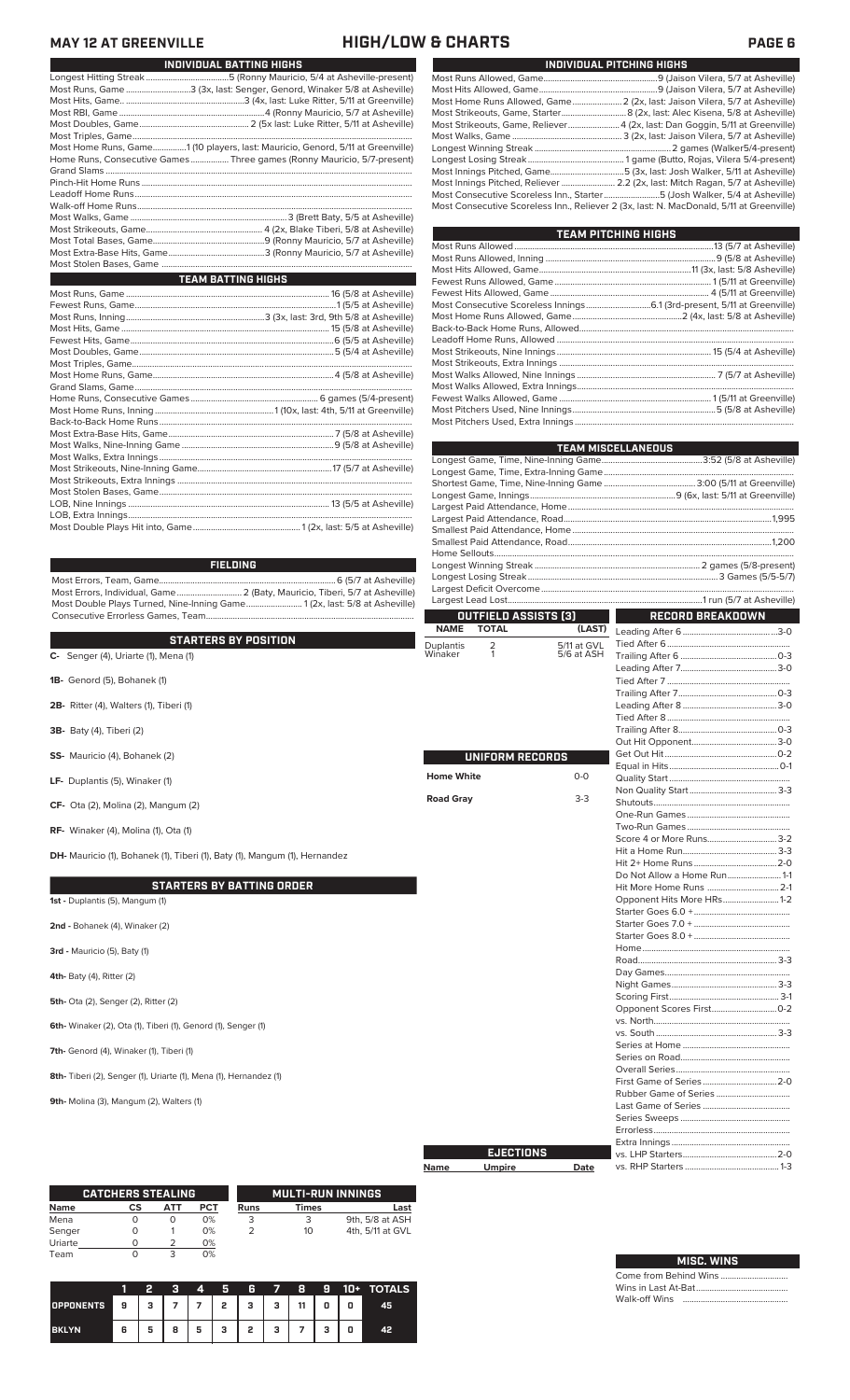**MAY 12 AT GREENVILLE HIGH/LOW & CHARTS PAGE 6** Γ

|                                                                                | INDIVIDUAL BATTING HIGHS  |
|--------------------------------------------------------------------------------|---------------------------|
|                                                                                |                           |
| Most Runs, Game 3 (3x, last: Senger, Genord, Winaker 5/8 at Asheville)         |                           |
|                                                                                |                           |
|                                                                                |                           |
|                                                                                |                           |
|                                                                                |                           |
| Most Home Runs, Game1 (10 players, last: Mauricio, Genord, 5/11 at Greenville) |                           |
| Home Runs, Consecutive Games  Three games (Ronny Mauricio, 5/7-present)        |                           |
|                                                                                |                           |
|                                                                                |                           |
|                                                                                |                           |
|                                                                                |                           |
|                                                                                |                           |
|                                                                                |                           |
|                                                                                |                           |
|                                                                                |                           |
|                                                                                |                           |
|                                                                                |                           |
|                                                                                | <b>TEAM BATTING HIGHS</b> |
|                                                                                |                           |
|                                                                                |                           |
|                                                                                |                           |
|                                                                                |                           |
|                                                                                |                           |
|                                                                                |                           |
|                                                                                |                           |
|                                                                                |                           |
|                                                                                |                           |
|                                                                                |                           |
|                                                                                |                           |
|                                                                                |                           |
|                                                                                |                           |
|                                                                                |                           |
|                                                                                |                           |
|                                                                                |                           |
|                                                                                |                           |
|                                                                                |                           |
|                                                                                |                           |
|                                                                                |                           |

Most Double Plays Hit into, Game................................................ 1 (2x, last: 5/5 at Asheville)

**FIELDING**

Most Errors, Team, Game...............................................................................6 (5/7 at Asheville) Most Errors, Individual, Game............................. 2 (Baty, Mauricio, Tiberi, 5/7 at Asheville) Most Double Plays Turned, Nine-Inning Game......................... 1 (2x, last: 5/8 at Asheville) Consecutive Errorless Games, Team.............................................................................................

|                                                                            | <b>NAME</b>       | <b>TOTAL</b>    | (LAST)      | Leading After 6         |
|----------------------------------------------------------------------------|-------------------|-----------------|-------------|-------------------------|
| <b>STARTERS BY POSITION</b>                                                | <b>Duplantis</b>  | 2               | 5/11 at GVL |                         |
| C- Senger (4), Uriarte (1), Mena (1)                                       | Winaker           | 1               | 5/6 at ASH  | Trailing After 6        |
|                                                                            |                   |                 |             | Leading After 7         |
| 1B- Genord (5), Bohanek (1)                                                |                   |                 |             |                         |
|                                                                            |                   |                 |             | Trailing After 7        |
| 2B- Ritter (4), Walters (1), Tiberi (1)                                    |                   |                 |             | Leading After 8         |
|                                                                            |                   |                 |             |                         |
| <b>3B-</b> Baty (4), Tiberi (2)                                            |                   |                 |             | Trailing After 8        |
|                                                                            |                   |                 |             | Out Hit Opponent        |
| SS- Mauricio (4), Bohanek (2)                                              |                   | UNIFORM RECORDS |             |                         |
|                                                                            |                   |                 |             |                         |
| LF- Duplantis (5), Winaker (1)                                             | <b>Home White</b> |                 | $O-O$       |                         |
|                                                                            |                   |                 |             | Non Quality Start       |
| CF- Ota (2), Molina (2), Mangum (2)                                        | <b>Road Gray</b>  |                 | $3-3$       |                         |
|                                                                            |                   |                 |             | One-Run Games           |
| RF- Winaker (4), Molina (1), Ota (1)                                       |                   |                 |             |                         |
|                                                                            |                   |                 |             | Score 4 or More Runs    |
| DH- Mauricio (1), Bohanek (1), Tiberi (1), Baty (1), Mangum (1), Hernandez |                   |                 |             |                         |
|                                                                            |                   |                 |             | Hit 2+ Home Runs        |
|                                                                            |                   |                 |             | Do Not Allow a Home Run |
| <b>STARTERS BY BATTING ORDER</b>                                           |                   |                 |             | Hit More Home Runs      |
| 1st - Duplantis (5), Mangum (1)                                            |                   |                 |             | Opponent Hits More HRs  |
|                                                                            |                   |                 |             | Starter Goes 6.0 +      |
| 2nd - Bohanek (4), Winaker (2)                                             |                   |                 |             | Starter Goes 7.0 +      |
|                                                                            |                   |                 |             | Starter Goes 8.0 +      |
| 3rd - Mauricio (5), Baty (1)                                               |                   |                 |             |                         |
|                                                                            |                   |                 |             |                         |
| 4th- Baty (4), Ritter (2)                                                  |                   |                 |             |                         |
|                                                                            |                   |                 |             |                         |
| <b>5th-</b> Ota (2), Senger (2), Ritter (2)                                |                   |                 |             |                         |
|                                                                            |                   |                 |             | Opponent Scores First   |
| 6th- Winaker (2), Ota (1), Tiberi (1), Genord (1), Senger (1)              |                   |                 |             |                         |
|                                                                            |                   |                 |             |                         |
| 7th- Genord (4), Winaker (1), Tiberi (1)                                   |                   |                 |             | Series at Home          |
|                                                                            |                   |                 |             | Series on Road          |
| 8th-Tiberi (2), Senger (1), Uriarte (1), Mena (1), Hernandez (1)           |                   |                 |             |                         |
|                                                                            |                   |                 |             | First Game of Series    |
| 9th- Molina (3), Mangum (2), Walters (1)                                   |                   |                 |             | Rubber Game of Series   |
|                                                                            |                   |                 |             | Last Game of Series     |

|             | <b>CATCHERS STEALING</b> |          |            |             | <b>MULTI-RUN INNINGS</b> |                  |
|-------------|--------------------------|----------|------------|-------------|--------------------------|------------------|
| <b>Name</b> | CS                       | АТТ      | <b>PCT</b> | <b>Runs</b> | <b>Times</b>             | Last             |
| Mena        | O                        | $\Omega$ | 0%         | 3           | 3                        | 9th, 5/8 at ASH  |
| Senger      | O                        |          | 0%         | 2           | 10                       | 4th, 5/11 at GVL |
| Uriarte     |                          |          | 0%         |             |                          |                  |
| Team        |                          | 3        | 0%         |             |                          |                  |

|                  |   |   |   | 4   | я | 6              | YA. | 8  | - 9 | 10+ | <b>TOTALS</b> |
|------------------|---|---|---|-----|---|----------------|-----|----|-----|-----|---------------|
| <b>OPPONENTS</b> | 9 | з |   | 7 I | 2 | 3 <sup>1</sup> | 3   | 11 | 0   | o   | 45            |
| <b>BKLYN</b>     | 6 | 5 | 8 | 5   | з | 2              | з   |    | з   | 0   | 42            |

| INDIVIDUAL PITCHING HIGHS                                                                |
|------------------------------------------------------------------------------------------|
|                                                                                          |
|                                                                                          |
| Most Home Runs Allowed, Game 2 (2x, last: Jaison Vilera, 5/7 at Asheville)               |
|                                                                                          |
| Most Strikeouts, Game, Reliever 4 (2x, last: Dan Goggin, 5/11 at Greenville)             |
|                                                                                          |
|                                                                                          |
|                                                                                          |
| Most Innings Pitched, Game5 (3x, last: Josh Walker, 5/11 at Asheville)                   |
| Most Innings Pitched, Reliever  2.2 (2x, last: Mitch Ragan, 5/7 at Asheville)            |
| Most Consecutive Scoreless Inn., Starter5 (Josh Walker, 5/4 at Asheville)                |
| Most Consecutive Scoreless Inn., Reliever 2 (3x, last: N. MacDonald, 5/11 at Greenville) |

| <b>TEAM PITCHING HIGHS</b>                                                           |  |  |  |  |  |  |  |
|--------------------------------------------------------------------------------------|--|--|--|--|--|--|--|
|                                                                                      |  |  |  |  |  |  |  |
|                                                                                      |  |  |  |  |  |  |  |
| Most Hits Allowed, Game………………………………………………………………………………………11 (3x, last: 5/8 Asheville) |  |  |  |  |  |  |  |
|                                                                                      |  |  |  |  |  |  |  |
|                                                                                      |  |  |  |  |  |  |  |
|                                                                                      |  |  |  |  |  |  |  |
|                                                                                      |  |  |  |  |  |  |  |
|                                                                                      |  |  |  |  |  |  |  |
|                                                                                      |  |  |  |  |  |  |  |
|                                                                                      |  |  |  |  |  |  |  |
|                                                                                      |  |  |  |  |  |  |  |
|                                                                                      |  |  |  |  |  |  |  |
|                                                                                      |  |  |  |  |  |  |  |
|                                                                                      |  |  |  |  |  |  |  |
|                                                                                      |  |  |  |  |  |  |  |
|                                                                                      |  |  |  |  |  |  |  |

| <b>TEAM MISCELLANEOUS</b> |  |
|---------------------------|--|
|                           |  |
|                           |  |
|                           |  |
|                           |  |
|                           |  |
|                           |  |
|                           |  |
|                           |  |
|                           |  |
|                           |  |
|                           |  |
|                           |  |
|                           |  |

T

**OUTFIELD ASSISTS (3)**

**Name Umpire Date EJECTIONS**

Т.

| RECORD BREAKDOWN            |  |
|-----------------------------|--|
|                             |  |
|                             |  |
|                             |  |
|                             |  |
|                             |  |
|                             |  |
|                             |  |
|                             |  |
|                             |  |
|                             |  |
|                             |  |
|                             |  |
|                             |  |
|                             |  |
|                             |  |
|                             |  |
|                             |  |
| Score 4 or More Runs 3-2    |  |
|                             |  |
|                             |  |
| Do Not Allow a Home Run 1-1 |  |
| Hit More Home Runs  2-1     |  |
| Opponent Hits More HRs1-2   |  |
|                             |  |
|                             |  |
|                             |  |
|                             |  |
|                             |  |
|                             |  |
|                             |  |
|                             |  |
|                             |  |
|                             |  |
|                             |  |
|                             |  |
|                             |  |
|                             |  |
|                             |  |
|                             |  |
|                             |  |
|                             |  |
|                             |  |
|                             |  |
|                             |  |
|                             |  |
|                             |  |

### Come from Behind Wins ... Wins in Last At-Bat......... Walk-off Wins **MISC. WINS**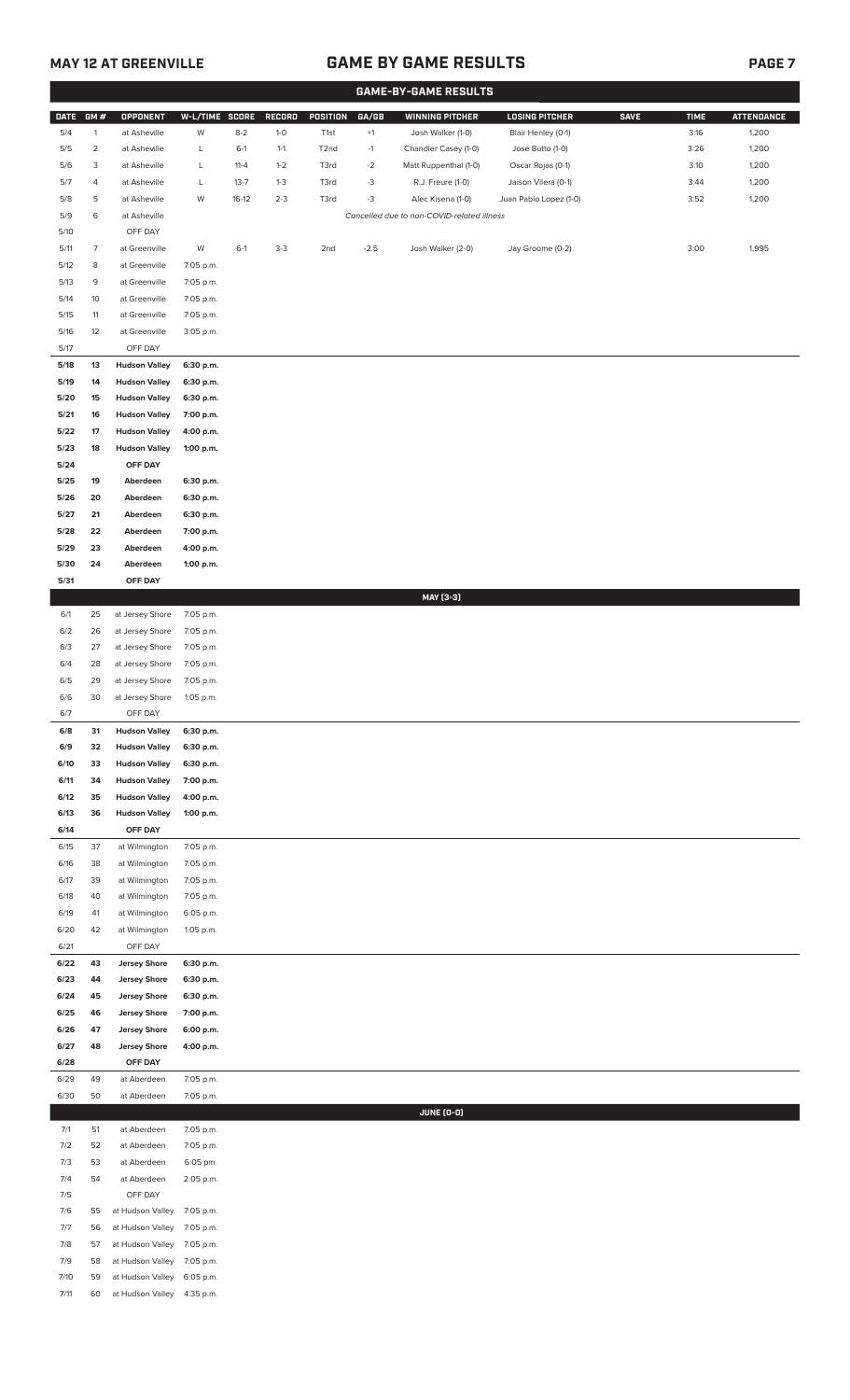## **MAY 12 AT GREENVILLE GAME BY GAME RESULTS**

|--|--|--|

|              |                |                                              |                        |          |         |                   |        | <b>GAME-BY-GAME RESULTS</b>                |                        |             |             |                   |
|--------------|----------------|----------------------------------------------|------------------------|----------|---------|-------------------|--------|--------------------------------------------|------------------------|-------------|-------------|-------------------|
| <b>DATE</b>  | GM#            | <b>OPPONENT</b>                              | W-L/TIME SCORE         |          | RECORD  | <b>POSITION</b>   | GA/GB  | <b>WINNING PITCHER</b>                     | <b>LOSING PITCHER</b>  | <b>SAVE</b> | <b>TIME</b> | <b>ATTENDANCE</b> |
| 5/4          | $\mathbf{1}$   | at Asheville                                 | W                      | $8 - 2$  | $1-0$   | T1st              | $+1$   | Josh Walker (1-0)                          | Blair Henley (0-1)     |             | 3:16        | 1,200             |
| 5/5          | $\overline{2}$ | at Asheville                                 | L                      | $6-1$    | $1 - 1$ | T <sub>2</sub> nd | $-1$   | Chandler Casey (1-0)                       | Jose Butto (1-0)       |             | 3:26        | 1,200             |
| 5/6          | 3              | at Asheville                                 | L                      | $11 - 4$ | $1 - 2$ | T3rd              | $-2$   | Matt Ruppenthal (1-0)                      | Oscar Rojas (0-1)      |             | 3:10        | 1,200             |
| 5/7          | 4              | at Asheville                                 | L                      | $13 - 7$ | $1 - 3$ | T3rd              | $-3$   | R.J. Freure (1-0)                          | Jaison Vilera (0-1)    |             | 3:44        | 1,200             |
| 5/8          | 5              | at Asheville                                 | W                      | $16-12$  | $2 - 3$ | T3rd              | $-3$   | Alec Kisena (1-0)                          | Juan Pablo Lopez (1-0) |             | 3:52        | 1,200             |
| 5/9          | 6              | at Asheville                                 |                        |          |         |                   |        | Cancelled due to non-COVID-related illness |                        |             |             |                   |
| 5/10         |                | OFF DAY                                      |                        |          |         |                   |        |                                            |                        |             |             |                   |
| 5/11         | $\overline{7}$ | at Greenville                                | W                      | $6-1$    | $3-3$   | 2nd               | $-2.5$ | Josh Walker (2-0)                          | Jay Groome (0-2)       |             | 3:00        | 1,995             |
| 5/12         | 8              | at Greenville                                | 7:05 p.m.              |          |         |                   |        |                                            |                        |             |             |                   |
| 5/13         | 9              | at Greenville                                | 7:05 p.m.              |          |         |                   |        |                                            |                        |             |             |                   |
| 5/14         | 10             | at Greenville                                | 7:05 p.m.              |          |         |                   |        |                                            |                        |             |             |                   |
| 5/15         | 11             | at Greenville                                | 7:05 p.m.              |          |         |                   |        |                                            |                        |             |             |                   |
| $5/16$       | 12             | at Greenville                                | 3:05 p.m.              |          |         |                   |        |                                            |                        |             |             |                   |
| 5/17         |                | OFF DAY                                      |                        |          |         |                   |        |                                            |                        |             |             |                   |
| 5/18         | 13             | <b>Hudson Valley</b>                         | 6:30 p.m.              |          |         |                   |        |                                            |                        |             |             |                   |
| 5/19<br>5/20 | 14<br>15       | <b>Hudson Valley</b><br><b>Hudson Valley</b> | 6:30 p.m.<br>6:30 p.m. |          |         |                   |        |                                            |                        |             |             |                   |
| 5/21         | 16             | <b>Hudson Valley</b>                         | 7:00 p.m.              |          |         |                   |        |                                            |                        |             |             |                   |
| 5/22         | 17             | <b>Hudson Valley</b>                         | 4:00 p.m.              |          |         |                   |        |                                            |                        |             |             |                   |
| 5/23         | 18             | <b>Hudson Valley</b>                         | 1:00 p.m.              |          |         |                   |        |                                            |                        |             |             |                   |
| 5/24         |                | OFF DAY                                      |                        |          |         |                   |        |                                            |                        |             |             |                   |
| 5/25         | 19             | Aberdeen                                     | 6:30 p.m.              |          |         |                   |        |                                            |                        |             |             |                   |
| 5/26         | 20             | Aberdeen                                     | 6:30 p.m.              |          |         |                   |        |                                            |                        |             |             |                   |
| 5/27         | 21             | Aberdeen                                     | 6:30 p.m.              |          |         |                   |        |                                            |                        |             |             |                   |
| 5/28         | 22             | Aberdeen                                     | 7:00 p.m.              |          |         |                   |        |                                            |                        |             |             |                   |
| 5/29         | 23             | Aberdeen                                     | 4:00 p.m.              |          |         |                   |        |                                            |                        |             |             |                   |
| 5/30         | 24             | Aberdeen                                     | 1:00 p.m.              |          |         |                   |        |                                            |                        |             |             |                   |
| 5/31         |                | OFF DAY                                      |                        |          |         |                   |        |                                            |                        |             |             |                   |
|              |                |                                              |                        |          |         |                   |        | MAY [3-3]                                  |                        |             |             |                   |
| 6/1          | 25             | at Jersey Shore                              | 7:05 p.m.              |          |         |                   |        |                                            |                        |             |             |                   |
| 6/2          | 26             | at Jersey Shore                              | 7:05 p.m.              |          |         |                   |        |                                            |                        |             |             |                   |
| 6/3          | 27             | at Jersey Shore                              | 7:05 p.m.              |          |         |                   |        |                                            |                        |             |             |                   |
| 6/4          | 28             | at Jersey Shore                              | 7:05 p.m.              |          |         |                   |        |                                            |                        |             |             |                   |
| 6/5          | 29             | at Jersey Shore                              | 7:05 p.m.              |          |         |                   |        |                                            |                        |             |             |                   |
| 6/6          | 30             | at Jersey Shore                              | 1:05 p.m.              |          |         |                   |        |                                            |                        |             |             |                   |
| 6/7          |                | OFF DAY                                      |                        |          |         |                   |        |                                            |                        |             |             |                   |
| 6/8<br>6/9   | 31<br>32       | <b>Hudson Valley</b><br><b>Hudson Valley</b> | 6:30 p.m.<br>6:30 p.m. |          |         |                   |        |                                            |                        |             |             |                   |
| 6/10         | 33             | <b>Hudson Valley</b>                         | 6:30 p.m.              |          |         |                   |        |                                            |                        |             |             |                   |
| 6/11         | 34             | <b>Hudson Valley</b>                         | 7:00 p.m.              |          |         |                   |        |                                            |                        |             |             |                   |
| 6/12         | 35             | <b>Hudson Valley</b>                         | 4:00 p.m.              |          |         |                   |        |                                            |                        |             |             |                   |
| 6/13         | 36             | <b>Hudson Valley</b>                         | 1:00 p.m.              |          |         |                   |        |                                            |                        |             |             |                   |
| 6/14         |                | OFF DAY                                      |                        |          |         |                   |        |                                            |                        |             |             |                   |
| 6/15         | 37             | at Wilmington                                | 7:05 p.m.              |          |         |                   |        |                                            |                        |             |             |                   |
| 6/16         | 38             | at Wilmington                                | 7:05 p.m.              |          |         |                   |        |                                            |                        |             |             |                   |
| 6/17         | 39             | at Wilmington                                | 7:05 p.m.              |          |         |                   |        |                                            |                        |             |             |                   |
| 6/18         | 40             | at Wilmington                                | 7:05 p.m.              |          |         |                   |        |                                            |                        |             |             |                   |
| 6/19         | 41             | at Wilmington                                | 6:05 p.m.              |          |         |                   |        |                                            |                        |             |             |                   |
| 6/20         | 42             | at Wilmington                                | 1:05 p.m.              |          |         |                   |        |                                            |                        |             |             |                   |
| 6/21<br>6/22 | 43             | OFF DAY                                      |                        |          |         |                   |        |                                            |                        |             |             |                   |
| 6/23         | 44             | <b>Jersey Shore</b><br><b>Jersey Shore</b>   | 6:30 p.m.<br>6:30 p.m. |          |         |                   |        |                                            |                        |             |             |                   |
| 6/24         | 45             | <b>Jersey Shore</b>                          | 6:30 p.m.              |          |         |                   |        |                                            |                        |             |             |                   |
| 6/25         | 46             | <b>Jersey Shore</b>                          | 7:00 p.m.              |          |         |                   |        |                                            |                        |             |             |                   |
| 6/26         | 47             | <b>Jersey Shore</b>                          | 6:00 p.m.              |          |         |                   |        |                                            |                        |             |             |                   |
| 6/27         | 48             | <b>Jersey Shore</b>                          | 4:00 p.m.              |          |         |                   |        |                                            |                        |             |             |                   |
| 6/28         |                | OFF DAY                                      |                        |          |         |                   |        |                                            |                        |             |             |                   |
| 6/29         | 49             | at Aberdeen                                  | 7:05 p.m.              |          |         |                   |        |                                            |                        |             |             |                   |
| 6/30         | 50             | at Aberdeen                                  | 7:05 p.m.              |          |         |                   |        |                                            |                        |             |             |                   |
|              |                |                                              |                        |          |         |                   |        | <b>JUNE (0-0)</b>                          |                        |             |             |                   |
| 7/1          | 51             | at Aberdeen                                  | 7:05 p.m.              |          |         |                   |        |                                            |                        |             |             |                   |
| 7/2          | 52             | at Aberdeen                                  | 7:05 p.m.              |          |         |                   |        |                                            |                        |             |             |                   |
| 7/3          | 53             | at Aberdeen                                  | 6:05 pm.               |          |         |                   |        |                                            |                        |             |             |                   |
| 7/4          | 54             | at Aberdeen                                  | 2:05 p.m.              |          |         |                   |        |                                            |                        |             |             |                   |
| 7/5<br>7/6   | 55             | OFF DAY<br>at Hudson Valley                  | 7:05 p.m.              |          |         |                   |        |                                            |                        |             |             |                   |
| 7/7          | 56             | at Hudson Valley                             | 7:05 p.m.              |          |         |                   |        |                                            |                        |             |             |                   |
| 7/8          | 57             | at Hudson Valley                             | 7:05 p.m.              |          |         |                   |        |                                            |                        |             |             |                   |
| 7/9          | 58             | at Hudson Valley                             | 7:05 p.m.              |          |         |                   |        |                                            |                        |             |             |                   |
| 7/10         | 59             | at Hudson Valley                             | 6:05 p.m.              |          |         |                   |        |                                            |                        |             |             |                   |
| 7/11         | 60             | at Hudson Valley                             | 4:35 p.m.              |          |         |                   |        |                                            |                        |             |             |                   |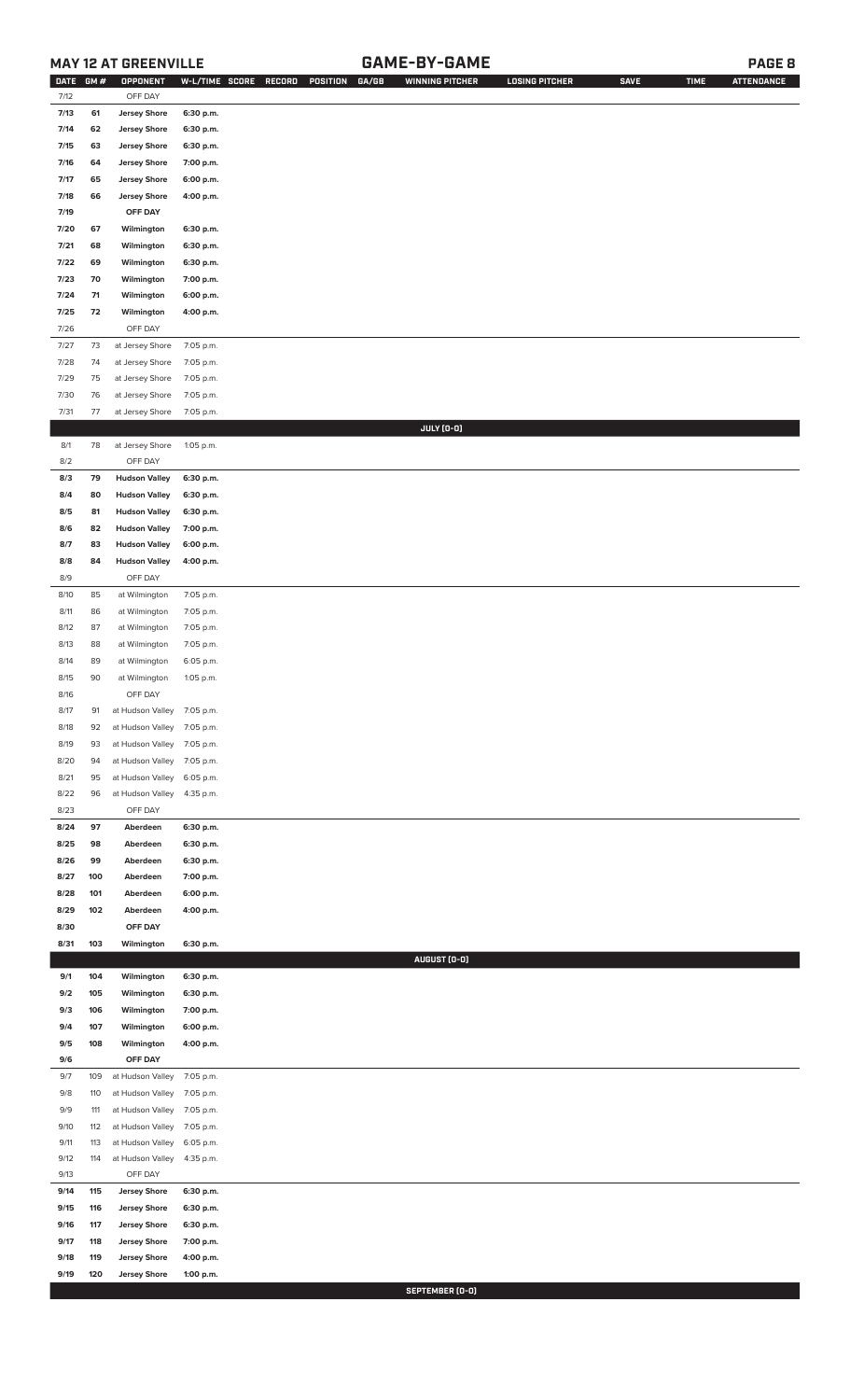### **MAY 12 AT GREENVILLE GAME-BY-GAME PAGE 8**

| <b>DATE</b> | GM# | OPPONENT                   | W-L/TIME SCORE | GA/GB<br>RECORD<br>POSITION | <b>WINNING PITCHER</b> | <b>LOSING PITCHER</b> | <b>SAVE</b> | <b>TIME</b> | <b>ATTENDANCE</b> |
|-------------|-----|----------------------------|----------------|-----------------------------|------------------------|-----------------------|-------------|-------------|-------------------|
| 7/12        |     | OFF DAY                    |                |                             |                        |                       |             |             |                   |
| 7/13        | 61  | <b>Jersey Shore</b>        | 6:30 p.m.      |                             |                        |                       |             |             |                   |
| 7/14        | 62  | <b>Jersey Shore</b>        | 6:30 p.m.      |                             |                        |                       |             |             |                   |
| 7/15        | 63  | <b>Jersey Shore</b>        | 6:30 p.m.      |                             |                        |                       |             |             |                   |
| 7/16        | 64  | <b>Jersey Shore</b>        | 7:00 p.m.      |                             |                        |                       |             |             |                   |
| 7/17        | 65  | <b>Jersey Shore</b>        | 6:00 p.m.      |                             |                        |                       |             |             |                   |
|             |     |                            |                |                             |                        |                       |             |             |                   |
| 7/18        | 66  | <b>Jersey Shore</b>        | 4:00 p.m.      |                             |                        |                       |             |             |                   |
| 7/19        |     | OFF DAY                    |                |                             |                        |                       |             |             |                   |
| 7/20        | 67  | Wilmington                 | 6:30 p.m.      |                             |                        |                       |             |             |                   |
| 7/21        | 68  | Wilmington                 | 6:30 p.m.      |                             |                        |                       |             |             |                   |
| 7/22        | 69  | Wilmington                 | 6:30 p.m.      |                             |                        |                       |             |             |                   |
| 7/23        | 70  | Wilmington                 | 7:00 p.m.      |                             |                        |                       |             |             |                   |
| 7/24        | 71  | Wilmington                 | 6:00 p.m.      |                             |                        |                       |             |             |                   |
| 7/25        | 72  | Wilmington                 | 4:00 p.m.      |                             |                        |                       |             |             |                   |
| 7/26        |     | OFF DAY                    |                |                             |                        |                       |             |             |                   |
| 7/27        | 73  | at Jersey Shore            | 7:05 p.m.      |                             |                        |                       |             |             |                   |
| 7/28        | 74  | at Jersey Shore            | 7:05 p.m.      |                             |                        |                       |             |             |                   |
| 7/29        | 75  | at Jersey Shore            | 7:05 p.m.      |                             |                        |                       |             |             |                   |
| 7/30        | 76  | at Jersey Shore            | 7:05 p.m.      |                             |                        |                       |             |             |                   |
| 7/31        | 77  | at Jersey Shore            | 7:05 p.m.      |                             |                        |                       |             |             |                   |
|             |     |                            |                |                             | JULY (0-0)             |                       |             |             |                   |
| 8/1         | 78  | at Jersey Shore            | 1:05 p.m.      |                             |                        |                       |             |             |                   |
| 8/2         |     | OFF DAY                    |                |                             |                        |                       |             |             |                   |
| 8/3         | 79  | <b>Hudson Valley</b>       | 6:30 p.m.      |                             |                        |                       |             |             |                   |
|             |     |                            |                |                             |                        |                       |             |             |                   |
| 8/4         | 80  | <b>Hudson Valley</b>       | 6:30 p.m.      |                             |                        |                       |             |             |                   |
| 8/5         | 81  | <b>Hudson Valley</b>       | 6:30 p.m.      |                             |                        |                       |             |             |                   |
| 8/6         | 82  | <b>Hudson Valley</b>       | 7:00 p.m.      |                             |                        |                       |             |             |                   |
| 8/7         | 83  | <b>Hudson Valley</b>       | 6:00 p.m.      |                             |                        |                       |             |             |                   |
| 8/8         | 84  | <b>Hudson Valley</b>       | 4:00 p.m.      |                             |                        |                       |             |             |                   |
| 8/9         |     | OFF DAY                    |                |                             |                        |                       |             |             |                   |
| 8/10        | 85  | at Wilmington              | 7:05 p.m.      |                             |                        |                       |             |             |                   |
| 8/11        | 86  | at Wilmington              | 7:05 p.m.      |                             |                        |                       |             |             |                   |
| 8/12        | 87  | at Wilmington              | 7:05 p.m.      |                             |                        |                       |             |             |                   |
| 8/13        | 88  | at Wilmington              | 7:05 p.m.      |                             |                        |                       |             |             |                   |
| 8/14        | 89  | at Wilmington              | 6:05 p.m.      |                             |                        |                       |             |             |                   |
| 8/15        | 90  | at Wilmington              | 1:05 p.m.      |                             |                        |                       |             |             |                   |
| 8/16        |     | OFF DAY                    |                |                             |                        |                       |             |             |                   |
| 8/17        | 91  | at Hudson Valley 7:05 p.m. |                |                             |                        |                       |             |             |                   |
| 8/18        | 92  | at Hudson Valley           | 7:05 p.m.      |                             |                        |                       |             |             |                   |
| 8/19        | 93  | at Hudson Valley           | 7:05 p.m.      |                             |                        |                       |             |             |                   |
| 8/20        | 94  | at Hudson Valley           | 7:05 p.m.      |                             |                        |                       |             |             |                   |
| 8/21        | 95  | at Hudson Valley           | 6:05 p.m.      |                             |                        |                       |             |             |                   |
| 8/22        |     |                            |                |                             |                        |                       |             |             |                   |
|             | 96  | at Hudson Valley           | 4:35 p.m.      |                             |                        |                       |             |             |                   |
| 8/23        |     | OFF DAY                    |                |                             |                        |                       |             |             |                   |
| 8/24        | 97  | Aberdeen                   | 6:30 p.m.      |                             |                        |                       |             |             |                   |
| 8/25        | 98  | Aberdeen                   | 6:30 p.m.      |                             |                        |                       |             |             |                   |
| 8/26        | 99  | Aberdeen                   | 6:30 p.m.      |                             |                        |                       |             |             |                   |
| 8/27        | 100 | Aberdeen                   | 7:00 p.m.      |                             |                        |                       |             |             |                   |
| 8/28        | 101 | Aberdeen                   | 6:00 p.m.      |                             |                        |                       |             |             |                   |
| 8/29        | 102 | Aberdeen                   | 4:00 p.m.      |                             |                        |                       |             |             |                   |
| 8/30        |     | OFF DAY                    |                |                             |                        |                       |             |             |                   |
| 8/31        | 103 | Wilmington                 | 6:30 p.m.      |                             |                        |                       |             |             |                   |
|             |     |                            |                |                             | AUGUST (0-0)           |                       |             |             |                   |
| 9/1         | 104 | Wilmington                 | 6:30 p.m.      |                             |                        |                       |             |             |                   |
| 9/2         | 105 | Wilmington                 | 6:30 p.m.      |                             |                        |                       |             |             |                   |
| 9/3         | 106 | Wilmington                 | 7:00 p.m.      |                             |                        |                       |             |             |                   |
| 9/4         | 107 | Wilmington                 | 6:00 p.m.      |                             |                        |                       |             |             |                   |
| 9/5         | 108 | Wilmington                 | 4:00 p.m.      |                             |                        |                       |             |             |                   |
| 9/6         |     | OFF DAY                    |                |                             |                        |                       |             |             |                   |
| 9/7         | 109 | at Hudson Valley           | 7:05 p.m.      |                             |                        |                       |             |             |                   |
| 9/8         | 110 | at Hudson Valley           | 7:05 p.m.      |                             |                        |                       |             |             |                   |
| 9/9         | 111 | at Hudson Valley           | 7:05 p.m.      |                             |                        |                       |             |             |                   |
| 9/10        | 112 | at Hudson Valley           | 7:05 p.m.      |                             |                        |                       |             |             |                   |
| 9/11        | 113 | at Hudson Valley           | 6:05 p.m.      |                             |                        |                       |             |             |                   |
| 9/12        | 114 | at Hudson Valley           | 4:35 p.m.      |                             |                        |                       |             |             |                   |
| 9/13        |     | OFF DAY                    |                |                             |                        |                       |             |             |                   |
|             |     |                            |                |                             |                        |                       |             |             |                   |
| 9/14        | 115 | <b>Jersey Shore</b>        | 6:30 p.m.      |                             |                        |                       |             |             |                   |
| 9/15        | 116 | <b>Jersey Shore</b>        | 6:30 p.m.      |                             |                        |                       |             |             |                   |
| 9/16        | 117 | <b>Jersey Shore</b>        | 6:30 p.m.      |                             |                        |                       |             |             |                   |
| 9/17        | 118 | <b>Jersey Shore</b>        | 7:00 p.m.      |                             |                        |                       |             |             |                   |
| 9/18        | 119 | <b>Jersey Shore</b>        | 4:00 p.m.      |                             |                        |                       |             |             |                   |
| 9/19        | 120 | <b>Jersey Shore</b>        | 1:00 p.m.      |                             |                        |                       |             |             |                   |

**SEPTEMBER (0-0)**<br>SEPTEMBER (0-0)